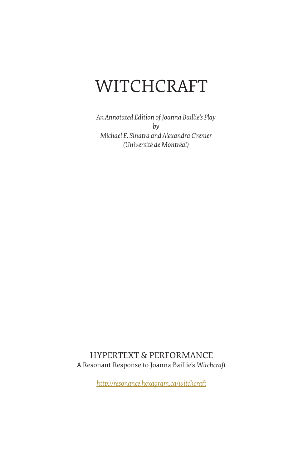# WITCHCRAFT

*An Annotated Edition of Joanna Baillie's Play by Michael E. Sinatra and Alexandra Grenier (Université de Montréal)*

HYPERTEXT & PERFORMANCE A Resonant Response to Joanna Baillie's *Witchcraft*

*http://resonance.hexagram.ca/witchcraft*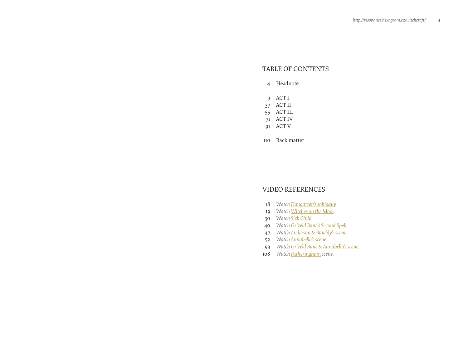# TABLE OF CONTENTS

#### [Headnote](#page-2-0)

- [ACT I](#page-4-0)
- [ACT II](#page-18-0)
- [ACT III](#page-27-0)
- [ACT IV](#page-35-0)
- [ACT V](#page-45-0)
- [Back matter](#page-55-0)

# VIDEO REFERENCES

- *[Watch Dungarren's soliloquy.](#page-9-0)*
- *[Watch Witches on the Moor.](#page-9-0)*
- *[Watch Sick Child.](#page-15-0)*
- *[Watch Grizeld Bane's Second Spell.](#page-20-0)*
- *[Watch Anderson & Bawldy's scene.](#page-23-0)*
- *[Watch Annabella's scene.](#page-26-0)*
- *[Watch Grizeld Bane & Annabella's scene.](#page-46-0)*
- *[Watch Fatheringham scene.](#page-54-0)*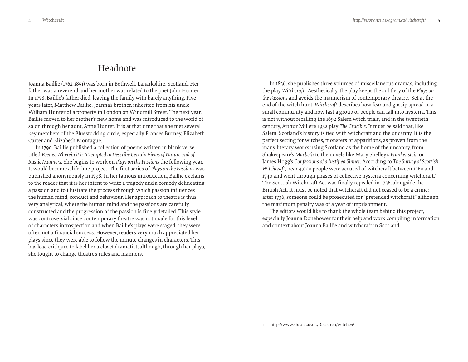# Headnote

<span id="page-2-0"></span>Joanna Baillie (1762-1851) was born in Bothwell, Lanarkshire, Scotland. Her father was a reverend and her mother was related to the poet John Hunter. In 1778, Baillie's father died, leaving the family with barely anything. Five years later, Matthew Baillie, Joanna's brother, inherited from his uncle William Hunter of a property in London on Windmill Street. The next year, Baillie moved to her brother's new home and was introduced to the world of salon through her aunt, Anne Hunter. It is at that time that she met several key members of the Bluestocking circle, especially Frances Burney, Elizabeth Carter and Elizabeth Montague.

In 1790, Baillie published a collection of poems written in blank verse titled *Poems: Wherein it is Attempted to Describe Certain Views of Nature and of Rustic Manners*. She begins to work on *Plays on the Passions* the following year. It would become a lifetime project. The first series of *Plays on the Passions* was published anonymously in 1798. In her famous introduction, Baillie explains to the reader that it is her intent to write a tragedy and a comedy delineating a passion and to illustrate the process through which passion influences the human mind, conduct and behaviour. Her approach to theatre is thus very analytical, where the human mind and the passions are carefully constructed and the progression of the passion is finely detailed. This style was controversial since contemporary theatre was not made for this level of characters introspection and when Baillie's plays were staged, they were often not a financial success. However, readers very much appreciated her plays since they were able to follow the minute changes in characters. This has lead critiques to label her a closet dramatist, although, through her plays, she fought to change theatre's rules and manners.

In 1836, she publishes three volumes of miscellaneous dramas, including the play *Witchcraft*. Aesthetically, the play keeps the subtlety of the *Plays on the Passions* and avoids the mannerism of contemporary theatre. Set at the end of the witch hunt, *Witchcraft* describes how fear and gossip spread in a small community and how fast a group of people can fall into hysteria. This is not without recalling the 1692 Salem witch trials, and in the twentieth century, Arthur Miller's 1952 play *The Crucible*. It must be said that, like Salem, Scotland's history is tied with witchcraft and the uncanny. It is the perfect setting for witches, monsters or apparitions, as proven from the many literary works using Scotland as the home of the uncanny, from Shakespeare's *Macbeth* to the novels like Mary Shelley's *Frankenstein* or James Hogg's *Confessions of a Justified Sinner*. According to *The Survey of Scottish Witchcraft*, near 4,000 people were accused of witchcraft between 1560 and 1740 and went through phases of collective hysteria concerning witchcraft.<sup>1</sup> The Scottish Witchcraft Act was finally repealed in 1736, alongside the British Act. It must be noted that witchcraft did not ceased to be a crime: after 1736, someone could be prosecuted for "pretended witchcraft" although the maximum penalty was of a year of imprisonment.

The editors would like to thank the whole team behind this project, especially Joanna Donehower for their help and work compiling information and context about Joanna Baillie and witchcraft in Scotland.

<sup>1</sup> http://www.shc.ed.ac.uk/Research/witches/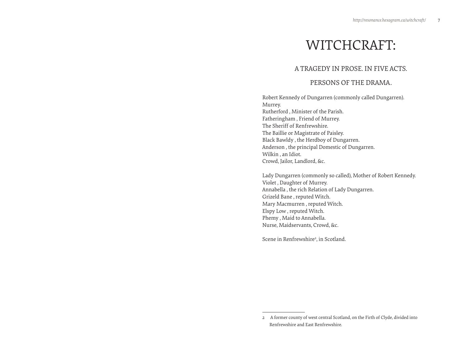# WITCHCRAFT:

# A TRAGEDY IN PROSE. IN FIVE ACTS.

# PERSONS OF THE DRAMA.

Robert Kennedy of Dungarren (commonly called Dungarren). Murrey. Rutherford , Minister of the Parish. Fatheringham , Friend of Murrey. The Sheriff of Renfrewshire. The Baillie or Magistrate of Paisley. Black Bawldy , the Herdboy of Dungarren. Anderson , the principal Domestic of Dungarren. Wilkin , an Idiot. Crowd, Jailor, Landlord, &c.

Lady Dungarren (commonly so called), Mother of Robert Kennedy. Violet , Daughter of Murrey. Annabella , the rich Relation of Lady Dungarren. Grizeld Bane , reputed Witch. Mary Macmurren , reputed Witch. Elspy Low , reputed Witch. Phemy , Maid to Annabella. Nurse, Maidservants, Crowd, &c.

Scene in Renfrewshire<sup>2</sup>, in Scotland.

<sup>2</sup> A former county of west central Scotland, on the Firth of Clyde, divided into Renfrewshire and East Renfrewshire.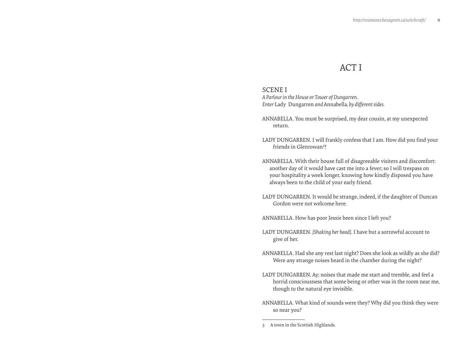# ACT I

# <span id="page-4-0"></span>SCENE I

*A Parlour in the House or Tower of Dungarren. Enter* Lady Dungarren *and* Annabella*, by different sides.*

ANNABELLA. You must be surprised, my dear cousin, at my unexpected return.

- LADY DUNGARREN. I will frankly confess that I am. How did you find your friends in Glenrowan<sup>3</sup>?
- ANNABELLA. With their house full of disagreeable visiters and discomfort: another day of it would have cast me into a fever; so I will trespass on your hospitality a week longer, knowing how kindly disposed you have always been to the child of your early friend.
- LADY DUNGARREN. It would be strange, indeed, if the daughter of Duncan Gordon were not welcome here.

ANNABELLA. How has poor Jessie been since I left you?

- LADY DUNGARREN. *[Shaking her head]*. I have but a sorrowful account to give of her.
- ANNABELLA. Had she any rest last night? Does she look as wildly as she did? Were any strange noises heard in the chamber during the night?
- LADY DUNGARREN. Ay; noises that made me start and tremble, and feel a horrid consciousness that some being or other was in the room near me, though to the natural eye invisible.
- ANNABELLA. What kind of sounds were they? Why did you think they were so near you?

<sup>3</sup> A town in the Scottish Highlands.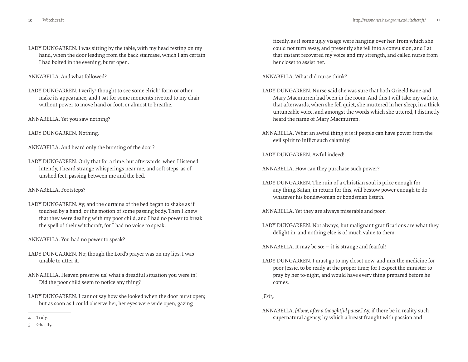LADY DUNGARREN. I was sitting by the table, with my head resting on my hand, when the door leading from the back staircase, which I am certain I had bolted in the evening, burst open.

ANNABELLA. And what followed?

- LADY DUNGARREN. I verily<sup>4</sup> thought to see some elrich<sup>5</sup> form or other make its appearance, and I sat for some moments rivetted to my chair, without power to move hand or foot, or almost to breathe.
- ANNABELLA. Yet you saw nothing?

LADY DUNGARREN. Nothing.

ANNABELLA. And heard only the bursting of the door?

LADY DUNGARREN. Only that for a time: but afterwards, when I listened intently, I heard strange whisperings near me, and soft steps, as of unshod feet, passing between me and the bed.

#### ANNABELLA. Footsteps?

LADY DUNGARREN. Ay; and the curtains of the bed began to shake as if touched by a hand, or the motion of some passing body. Then I knew that they were dealing with my poor child, and I had no power to break the spell of their witchcraft, for I had no voice to speak.

ANNABELLA. You had no power to speak?

- LADY DUNGARREN. No; though the Lord's prayer was on my lips, I was unable to utter it.
- ANNABELLA. Heaven preserve us! what a dreadful situation you were in! Did the poor child seem to notice any thing?
- LADY DUNGARREN. I cannot say how she looked when the door burst open; but as soon as I could observe her, her eyes were wide open, gazing

fixedly, as if some ugly visage were hanging over her, from which she could not turn away, and presently she fell into a convulsion, and I at that instant recovered my voice and my strength, and called nurse from her closet to assist her.

ANNABELLA. What did nurse think?

- LADY DUNGARREN. Nurse said she was sure that both Grizeld Bane and Mary Macmurren had been in the room. And this I will take my oath to, that afterwards, when she fell quiet, she muttered in her sleep, in a thick untuneable voice, and amongst the words which she uttered, I distinctly heard the name of Mary Macmurren.
- ANNABELLA. What an awful thing it is if people can have power from the evil spirit to inflict such calamity!

LADY DUNGARREN. Awful indeed!

ANNABELLA. How can they purchase such power?

LADY DUNGARREN. The ruin of a Christian soul is price enough for any thing. Satan, in return for this, will bestow power enough to do whatever his bondswoman or bondsman listeth.

ANNABELLA. Yet they are always miserable and poor.

LADY DUNGARREN. Not always; but malignant gratifications are what they delight in, and nothing else is of much value to them.

ANNABELLA. It may be so:  $-$  it is strange and fearful!

LADY DUNGARREN. I must go to my closet now, and mix the medicine for poor Jessie, to be ready at the proper time; for I expect the minister to pray by her to-night, and would have every thing prepared before he comes.

*[Exit].*

ANNABELLA. *[Alone, after a thoughtful pause.]* Ay, if there be in reality such supernatural agency, by which a breast fraught with passion and

<sup>4</sup> Truly.

<sup>5</sup> Ghastly.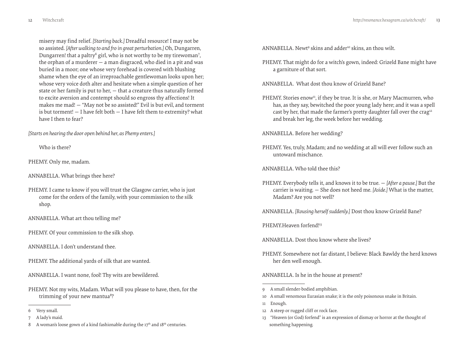misery may find relief. *[Starting back.]* Dreadful resource! I may not be so assisted. *[After walking to and fro in great perturbation.]* Oh, Dungarren, Dungarren! that a paltry<sup>6</sup> girl, who is not worthy to be my tirewoman<sup>7</sup>, the orphan of a murderer — a man disgraced, who died in a pit and was buried in a moor; one whose very forehead is covered with blushing shame when the eye of an irreproachable gentlewoman looks upon her; whose very voice doth alter and hesitate when a simple question of her state or her family is put to her, — that a creature thus naturally formed to excite aversion and contempt should so engross thy affections! It makes me mad! — "May not be so assisted!" Evil is but evil, and torment is but torment!  $-$  I have felt both  $-$  I have felt them to extremity? what have I then to fear?

*[Starts on hearing the door open behind her, as Phemy enters.]*

Who is there?

PHEMY. Only me, madam.

ANNABELLA. What brings thee here?

PHEMY. I came to know if you will trust the Glasgow carrier, who is just come for the orders of the family, with your commission to the silk shop.

ANNABELLA. What art thou telling me?

PHEMY. Of your commission to the silk shop.

ANNABELLA. I don't understand thee.

PHEMY. The additional yards of silk that are wanted.

ANNABELLA. I want none, fool! Thy wits are bewildered.

PHEMY. Not my wits, Madam. What will you please to have, then, for the trimming of your new mantua<sup>8</sup>?

ANNABELLA. Newt<sup>9</sup> skins and adder<sup>10</sup> skins, an thou wilt.

PHEMY. That might do for a witch's gown, indeed: Grizeld Bane might have a garniture of that sort.

ANNABELLA. What dost thou know of Grizeld Bane?

PHEMY. Stories enow<sup>11</sup>, if they be true. It is she, or Mary Macmurren, who has, as they say, bewitched the poor young lady here; and it was a spell cast by her, that made the farmer's pretty daughter fall over the crag<sup>12</sup> and break her leg, the week before her wedding.

ANNABELLA. Before her wedding?

PHEMY. Yes, truly, Madam; and no wedding at all will ever follow such an untoward mischance.

ANNABELLA. Who told thee this?

PHEMY. Everybody tells it, and knows it to be true. — *[After a pause.]* But the carrier is waiting. — She does not heed me. *[Aside.]* What is the matter, Madam? Are you not well?

ANNABELLA. *[Rousing herself suddenly.]* Dost thou know Grizeld Bane?

PHEMY.Heaven forfend!13

ANNABELLA. Dost thou know where she lives?

PHEMY. Somewhere not far distant, I believe: Black Bawldy the herd knows her den well enough.

ANNABELLA. Is he in the house at present?

- 9 A small slender-bodied amphibian.
- 10 A small venomous Eurasian snake; it is the only poisonous snake in Britain.
- 11 Enough.
- 12 A steep or rugged cliff or rock face.
- 13 "Heaven (or God) forfend" is an expression of dismay or horror at the thought of something happening.

<sup>6</sup> Very small.

<sup>7</sup> A lady's maid.

<sup>8</sup> A woman's loose gown of a kind fashionable during the  $17<sup>th</sup>$  and  $18<sup>th</sup>$  centuries.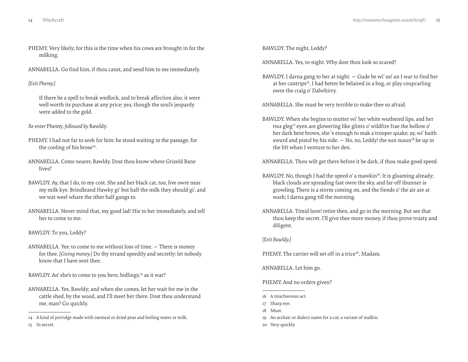- PHEMY. Very likely; for this is the time when his cows are brought in for the milking.
- ANNABELLA. Go find him, if thou canst, and send him to me immediately.

#### *[Exit Phemy.]*

If there be a spell to break wedlock, and to break affection also, it were well worth its purchase at any price; yea, though the soul's jeopardy were added to the gold.

*Re-enter* Phemy*, followed by* Bawldy*.*

- PHEMY. I had not far to seek for him: he stood waiting in the passage, for the cooling of his brose $44$ .
- ANNABELLA. Come nearer, Bawldy. Dost thou know where Grizeld Bane lives?
- BAWLDY. Ay, that I do, to my cost. She and her black cat, too, live owre near my milk kye. Brindleand Hawky gi' but half the milk they should gi', and we wat weel whare the ither half gangs to.
- ANNABELLA. Never mind that, my good lad! Hie to her immediately, and tell her to come to me.

#### BAWLDY. To you, Leddy?

ANNABELLA. Yes: to come to me without loss of time. — There is money for thee. *[Giving money.]* Do thy errand speedily and secretly: let nobody know that I have sent thee.

BAWLDY. An' she's to come to you here, hidlings,<sup>15</sup> as it war?

ANNABELLA. Yes, Bawldy; and when she comes, let her wait for me in the cattle shed, by the wood, and I'll meet her there. Dost thou understand me, man? Go quickly.

BAWLDY. The night, Leddy?

ANNABELLA. Yes, to-night. Why dost thou look so scared?

BAWLDY. I darna gang to her at night. — Gude be wi' us! an I war to find her at her cantrips<sup>16</sup>, I had better be belaired in a bog, or play coupcarling owre the craig o' Dalwhirry.

ANNABELLA. She must be very terrible to make thee so afraid.

- BAWLDY. When she begins to mutter wi' her white wuthered lips, and her twa gleg<sup>17</sup> eyen are glowering like glints o' wildfire frae the hollow o' her dark bent brows, she 's enough to mak a trooper quake; ay, wi' baith swurd and pistol by his side.  $-$  No, no, Leddy! the sun maun<sup>18</sup> be up in the lift whan I venture to her den.
- ANNABELLA. Thou wilt get there before it be dark, if thou make good speed.
- BAWLDY. No, though I had the speed o' a mawkin<sup>19</sup>. It is gloaming already; black clouds are spreading fast owre the sky, and far-off thunner is growling. There is a storm coming on, and the fiends o' the air are at wark; I darna gang till the morning.
- ANNABELLA. Timid loon! retire then, and go in the morning. But see that thou keep the secret. I'll give thee more money, if thou prove trusty and diligent.

#### *[Exit Bawldy.]*

PHEMY. The carrier will set off in a trice<sup>20</sup>, Madam.

ANNABELLA. Let him go.

PHEMY. And no orders given?

- 16 A mischievous act.
- 17 Sharp eye.
- 18 Must.
- 19 An archaic or dialect name for a cat; a variant of malkin.
- 20 Very quickly.

<sup>14</sup> A kind of porridge made with oatmeal or dried peas and boiling water or milk. 15 In secret.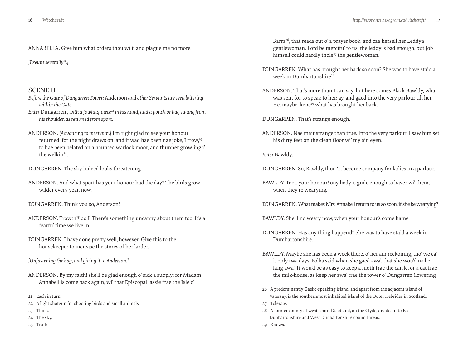ANNABELLA. Give him what orders thou wilt, and plague me no more.

*[Exeunt severally21.]*

# SCENE II

- *Before the Gate of Dungarren Tower:* Anderson *and other Servants are seen loitering within the Gate.*
- *Enter Dungarren, with a fowling-piece<sup>22</sup> in his hand, and a pouch or bag swung from his shoulder, as returned from sport.*
- ANDERSON. *[Advancing to meet him.]* I'm right glad to see your honour returned; for the night draws on, and it wad hae been nae joke, I trow,<sup>23</sup> to hae been belated on a haunted warlock moor, and thunner growling i' the welkin24.
- DUNGARREN. The sky indeed looks threatening.
- ANDERSON. And what sport has your honour had the day? The birds grow wilder every year, now.
- DUNGARREN. Think you so, Anderson?
- ANDERSON. Trowth<sup>25</sup> do I! There's something uncanny about them too. It's a fearfu' time we live in.
- DUNGARREN. I have done pretty well, however. Give this to the housekeeper to increase the stores of her larder.
- *[Unfastening the bag, and giving it to Anderson.]*
- ANDERSON. By my faith! she'll be glad enough o' sick a supply; for Madam Annabell is come back again, wi' that Episcopal lassie frae the Isle o'

- 22 A light shotgun for shooting birds and small animals.
- 23 Think.
- 24 The sky.
- 25 Truth.

Barra<sup>26</sup>, that reads out o' a prayer book, and ca's hersell her Leddy's gentlewoman. Lord be mercifu' to us! the leddy 's bad enough, but Job himsell could hardly thole<sup>27</sup> the gentlewoman.

- DUNGARREN. What has brought her back so soon? She was to have staid a week in Dumbartonshire<sup>28</sup>.
- ANDERSON. That's more than I can say: but here comes Black Bawldy, wha was sent for to speak to her; ay, and gaed into the very parlour till her. He, maybe, kens<sup>29</sup> what has brought her back.

DUNGARREN. That's strange enough.

ANDERSON. Nae mair strange than true. Into the very parlour: I saw him set his dirty feet on the clean floor wi' my ain eyen.

*Enter* Bawldy*.*

- DUNGARREN. So, Bawldy, thou 'rt become company for ladies in a parlour.
- BAWLDY. Toot, your honour! ony body 's gude enough to haver wi' them, when they're wearying.
- DUNGARREN. What makes Mrs. Annabell return to us so soon, if she be wearying?
- BAWLDY. She'll no weary now, when your honour's come hame.
- DUNGARREN. Has any thing happen'd? She was to have staid a week in Dumbartonshire.
- BAWLDY. Maybe she has been a week there, o' her ain reckoning, tho' we ca' it only twa days. Folks said when she gaed awa', that she wou'd na be lang awa'. It wou'd be as easy to keep a moth frae the can'le, or a cat frae the milk-house, as keep her awa' frae the tower o' Dungarren (lowering
- 26 A predominantly Gaelic-speaking island, and apart from the adjacent island of Vatersay, is the southernmost inhabited island of the Outer Hebrides in Scotland.
- 27 Tolerate.
- 28 A former county of west central Scotland, on the Clyde, divided into East Dunbartonshire and West Dunbartonshire council areas.
- 29 Knows.

<sup>21</sup> Each in turn.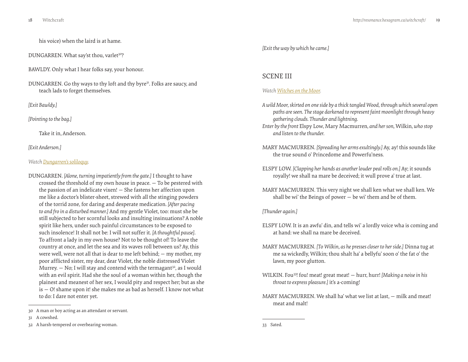<span id="page-9-0"></span>his voice) when the laird is at hame.

DUNGARREN. What say'st thou, varlet<sup>30</sup>?

BAWLDY. Only what I hear folks say, your honour.

DUNGARREN. Go thy ways to thy loft and thy byre<sup>31</sup>. Folks are saucy, and teach lads to forget themselves.

*[Exit Bawldy.]*

*[Pointing to the bag.]*

Take it in, Anderson.

*[Exit Anderson.]*

#### *Watch [Dungarren's soliloquy.](https://vimeo.com/groups/134592/videos/40472268)*

DUNGARREN. *[Alone, turning impatiently from the gate.]* I thought to have crossed the threshold of my own house in peace. — To be pestered with the passion of an indelicate vixen! — She fastens her affection upon me like a doctor's blister-sheet, strewed with all the stinging powders of the torrid zone, for daring and desperate medication. *[After pacing to and fro in a disturbed manner.]* And my gentle Violet, too: must she be still subjected to her scornful looks and insulting insinuations? A noble spirit like hers, under such painful circumstances to be exposed to such insolence! It shall not be: I will not suffer it. *[A thoughtful pause]*. To affront a lady in my own house? Not to be thought of! To leave the country at once, and let the sea and its waves roll between us? Ay, this were well, were not all that is dear to me left behind; — my mother, my poor afflicted sister, my dear, dear Violet, the noble distressed Violet Murrey.  $-$  No; I will stay and contend with the termagant<sup>32</sup>, as I would with an evil spirit. Had she the soul of a woman within her, though the plainest and meanest of her sex, I would pity and respect her; but as she is — O! shame upon it! she makes me as bad as herself. I know not what to do: I dare not enter yet.

*[Exit the way by which he came.]*

# SCENE III

# *Watch [Witches on the Moor.](http://vimeo.com/groups/134592/videos/40476299)*

- *A wild Moor, skirted on one side by a thick tangled Wood, through which several open paths are seen. The stage darkened to represent faint moonlight through heavy gathering clouds. Thunder and lightning.*
- *Enter by the front* Elspy Low*,* Mary Macmurren*, and her son,* Wilkin*, who stop and listen to the thunder.*
- MARY MACMURREN. *[Spreading her arms exultingly.]* Ay, ay! this sounds like the true sound o' Princedome and Powerfu'ness.
- ELSPY LOW. *[Clapping her hands as another louder peal rolls on.]* Ay; it sounds royally! we shall na mare be deceived; it wull prove a' true at last.
- MARY MACMURREN. This very night we shall ken what we shall ken. We shall be wi' the Beings of power  $-$  be wi' them and be of them.

*[Thunder again.]*

- ELSPY LOW. It is an awfu' din, and tells wi' a lordly voice wha is coming and at hand: we shall na mare be deceived.
- MARY MACMURREN. *[To Wilkin, as he presses closer to her side.]* Dinna tug at me sa wickedly, Wilkin; thou shalt ha' a bellyfu' soon o' the fat o' the lawn, my poor glutton.
- WILKIN. Fou33! fou! meat! great meat! hurr, hurr! *[Making a noise in his throat to express pleasure.]* it's a-coming!
- MARY MACMURREN. We shall ha' what we list at last, milk and meat! meat and malt!

33 Sated.

<sup>30</sup> A man or boy acting as an attendant or servant.

<sup>31</sup> A cowshed.

<sup>32</sup> A harsh-tempered or overbearing woman.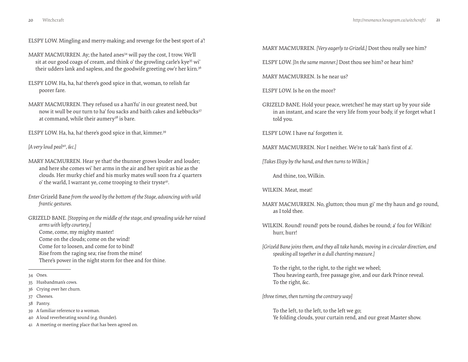ELSPY LOW. Mingling and merry-making; and revenge for the best sport of a'!

MARY MACMURREN. Ay; the hated anes<sup>34</sup> will pay the cost, I trow. We'll sit at our good coags of cream, and think o' the growling carle's kye<sup>35</sup> wi' their udders lank and sapless, and the goodwife greeting ow'r her kirn.<sup>36</sup>

- ELSPY LOW. Ha, ha, ha! there's good spice in that, woman, to relish far poorer fare.
- MARY MACMURREN. They refused us a han'fu' in our greatest need, but now it wull be our turn to ha' fou sacks and baith cakes and kebbucks<sup>37</sup> at command, while their aumery<sup>38</sup> is bare.

ELSPY LOW. Ha, ha, ha! there's good spice in that, kimmer.<sup>39</sup>

*[A very loud peal*<sup>40</sup>*, &c.]*

- MARY MACMURREN. Hear ye that! the thunner grows louder and louder; and here she comes wi' her arms in the air and her spirit as hie as the clouds. Her murky chief and his murky mates wull soon fra a' quarters o' the warld, I warrant ye, come trooping to their tryste<sup>41</sup>.
- *Enter* Grizeld Bane *from the wood by the bottom of the Stage, advancing with wild frantic gestures.*

GRIZELD BANE. *[Stopping on the middle of the stage, and spreading wide her raised arms with lofty courtesy.]* Come, come, my mighty master! Come on the clouds; come on the wind! Come for to loosen, and come for to bind!

Rise from the raging sea; rise from the mine!

There's power in the night storm for thee and for thine.

- 35 Husbandman's cows.
- 36 Crying over her churn.
- 37 Cheeses.
- 38 Pantry.
- 39 A familiar reference to a woman.

40 A loud reverberating sound (e.g. thunder).

41 A meeting or meeting place that has been agreed on.

MARY MACMURREN. *[Very eagerly to Grizeld.]* Dost thou really see him?

ELSPY LOW. *[In the same manner.]* Dost thou see him? or hear him?

MARY MACMURREN. Is he near us?

ELSPY LOW. Is he on the moor?

GRIZELD BANE. Hold your peace, wretches! he may start up by your side in an instant, and scare the very life from your body, if ye forget what I told you.

ELSPY LOW. I have na' forgotten it.

MARY MACMURREN. Nor I neither. We're to tak' han's first of a'.

*[Takes Elspy by the hand, and then turns to Wilkin.]*

And thine, too, Wilkin.

WILKIN. Meat, meat!

- MARY MACMURREN. No, glutton; thou mun gi' me thy haun and go round, as I told thee.
- WILKIN. Round! round! pots be round, dishes be round; a' fou for Wilkin! hurr, hurr!
- *[Grizeld Bane joins them, and they all take hands, moving in a circular direction, and speaking all together in a dull chanting measure.]*

To the right, to the right, to the right we wheel; Thou heaving earth, free passage give, and our dark Prince reveal. To the right, &c.

*[three times, then turning the contrary way]*

To the left, to the left, to the left we go; Ye folding clouds, your curtain rend, and our great Master show.

<sup>34</sup> Ones.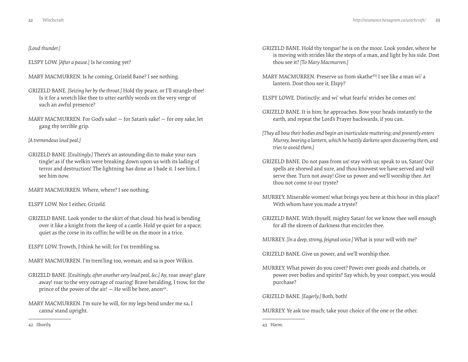## *[Loud thunder.]*

ELSPY LOW. *[After a pause.]* Is he coming yet?

- MARY MACMURREN. Is he coming, Grizeld Bane? I see nothing.
- GRIZELD BANE. *[Seizing her by the throat.]* Hold thy peace, or I'll strangle thee! Is it for a wretch like thee to utter earthly words on the very verge of such an awful presence?
- MARY MACMURREN. For God's sake! for Satan's sake! for ony sake, let gang thy terrible grip.

*[A tremendous loud peal.]*

GRIZELD BANE. *[Exultingly.]* There's an astounding din to make your ears tingle! as if the welkin were breaking down upon us with its lading of terror and destruction! The lightning has done as I bade it. I see him, I see him now.

MARY MACMURREN. Where, where? I see nothing.

ELSPY LOW. Nor I either, Grizeld.

GRIZELD BANE. Look yonder to the skirt of that cloud: his head is bending over it like a knight from the keep of a castle. Hold ye quiet for a space; quiet as the corse in its coffin: he will be on the moor in a trice.

ELSPY LOW. Trowth, I think he will; for I'm trembling sa.

- MARY MACMURREN. I'm trem'ling too, woman; and sa is poor Wilkin.
- GRIZELD BANE. *[Exultingly, after another very loud peal, &c.]* Ay, roar away! glare away! roar to the very outrage of roaring! Brave heralding, I trow, for the prince of the power of the air!  $-$  He will be here, anon<sup>42</sup>.
- MARY MACMURREN. I'm sure he will, for my legs bend under me sa, I canna' stand upright.
- GRIZELD BANE. Hold thy tongue! he is on the moor. Look yonder, where he is moving with strides like the steps of a man, and light by his side. Dost thou see it? *[To Mary Macmurren.]*
- MARY MACMURREN. Preserve us from skathe43! I see like a man wi' a lantern. Dost thou see it, Elspy?
- ELSPY LOWE. Distinctly: and wi' what fearfu' strides he comes on!
- GRIZELD BANE. It is him; he approaches. Bow your heads instantly to the earth, and repeat the Lord's Prayer backwards, if you can.
- *[They all bow their bodies and begin an inarticulate muttering; and presently enters Murrey, bearing a lantern, which he hastily darkens upon discovering them, and tries to avoid them.]*
- GRIZELD BANE. Do not pass from us! stay with us; speak to us, Satan! Our spells are shrewd and sure, and thou knowest we have served and will serve thee. Turn not away! Give us power and we'll worship thee. Art thou not come to our tryste?
- MURREY. Miserable women! what brings you here at this hour in this place? With whom have you made a tryste?
- GRIZELD BANE. With thyself, mighty Satan! for we know thee well enough for all the skreen of darkness that encircles thee.

MURREY. *[In a deep, strong, feigned voice.]* What is your will with me?

GRIZELD BANE. Give us power, and we'll worship thee.

MURREY. What power do you covet? Power over goods and chattels, or power over bodies and spirits? Say which, by your compact, you would purchase?

GRIZELD BANE. *[Eagerly.]* Both, both!

MURREY. Ye ask too much; take your choice of the one or the other.

43 Harm.

42 Shortly.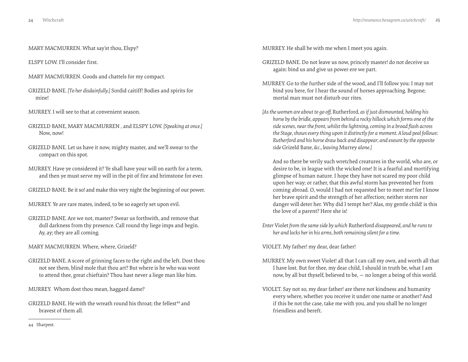MARY MACMURREN. What say'st thou, Elspy?

ELSPY LOW. I'll consider first.

- MARY MACMURREN. Goods and chattels for my compact.
- GRIZELD BANE. *[To her disdainfully.]* Sordid caitiff! Bodies and spirits for mine!
- MURREY. I will see to that at convenient season.
- GRIZELD BANE, MARY MACMURREN , and ELSPY LOW. *[Speaking at once.]* Now, now!
- GRIZELD BANE. Let us have it now, mighty master, and we'll swear to the compact on this spot.
- MURREY. Have ye considered it? Ye shall have your will on earth for a term, and then ye must serve my will in the pit of fire and brimstone for ever.
- GRIZELD BANE. Be it so! and make this very night the beginning of our power.
- MURREY. Ye are rare mates, indeed, to be so eagerly set upon evil.
- GRIZELD BANE. Are we not, master? Swear us forthwith, and remove that dull darkness from thy presence. Call round thy liege imps and begin. Ay, ay; they are all coming.
- MARY MACMURREN. Where, where, Grizeld?
- GRIZELD BANE. A score of grinning faces to the right and the left. Dost thou not see them, blind mole that thou art? But where is he who was wont to attend thee, great chieftain? Thou hast never a liege man like him.
- MURREY. Whom dost thou mean, haggard dame?
- GRIZELD BANE. He with the wreath round his throat; the fellest<sup>44</sup> and bravest of them all.

MURREY. He shall be with me when I meet you again.

- GRIZELD BANE. Do not leave us now, princely master! do not deceive us again: bind us and give us power ere we part.
- MURREY. Go to the further side of the wood, and I'll follow you: I may not bind you here, for I hear the sound of horses approaching. Begone; mortal man must not disturb our rites.
- *[As the women are about to go off,* Rutherford*, as if just dismounted, holding his horse by the bridle, appears from behind a rocky hillock which forms one of the side scenes, near the front, whilst the lightning, coming in a broad flash across the Stage, shows every thing upon it distinctly for a moment. A loud peal follows: Rutherford and his horse draw back and disappear; and exeunt by the opposite side* Grizeld Bane*, &c., leaving* Murrey *alone.]*

And so there be verily such wretched creatures in the world, who are, or desire to be, in league with the wicked one! It is a fearful and mortifying glimpse of human nature. I hope they have not scared my poor child upon her way; or rather, that this awful storm has prevented her from coming abroad. O, would I had not requested her to meet me! for I know her brave spirit and the strength of her affection; neither storm nor danger will deter her. Why did I tempt her? Alas, my gentle child! is this the love of a parent? Here she is!

*Enter* Violet *from the same side by which* Rutherford *disappeared, and he runs to her and locks her in his arms, both remaining silent for a time.*

VIOLET. My father! my dear, dear father!

- MURREY. My own sweet Violet! all that I can call my own, and worth all that I have lost. But for thee, my dear child, I should in truth be, what I am now, by all but thyself, believed to be, — no longer a being of this world.
- VIOLET. Say not so, my dear father! are there not kindness and humanity every where, whether you receive it under one name or another? And if this be not the case, take me with you, and you shall be no longer friendless and bereft.

<sup>44</sup> Sharpest.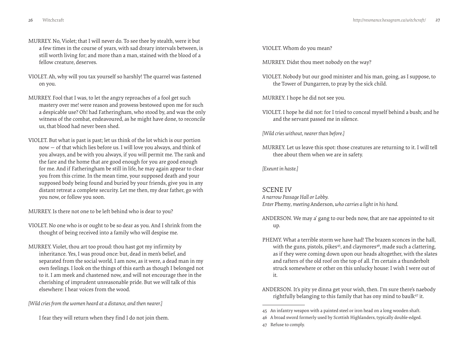- MURREY. No, Violet; that I will never do. To see thee by stealth, were it but a few times in the course of years, with sad dreary intervals between, is still worth living for; and more than a man, stained with the blood of a fellow creature, deserves.
- VIOLET. Ah, why will you tax yourself so harshly! The quarrel was fastened on you.
- MURREY. Fool that I was, to let the angry reproaches of a fool get such mastery over me! were reason and prowess bestowed upon me for such a despicable use? Oh! had Fatheringham, who stood by, and was the only witness of the combat, endeavoured, as he might have done, to reconcile us, that blood had never been shed.
- VIOLET. But what is past is past; let us think of the lot which is our portion now — of that which lies before us. I will love you always, and think of you always, and be with you always, if you will permit me. The rank and the fare and the home that are good enough for you are good enough for me. And if Fatheringham be still in life, he may again appear to clear you from this crime. In the mean time, your supposed death and your supposed body being found and buried by your friends, give you in any distant retreat a complete security. Let me then, my dear father, go with you now, or follow you soon.

MURREY. Is there not one to be left behind who is dear to you?

- VIOLET. No one who is or ought to be so dear as you. And I shrink from the thought of being received into a family who will despise me.
- MURREY. Violet, thou art too proud: thou hast got my infirmity by inheritance. Yes, I was proud once: but, dead in men's belief, and separated from the social world, I am now, as it were, a dead man in my own feelings. I look on the things of this earth as though I belonged not to it. I am meek and chastened now, and will not encourage thee in the cherishing of imprudent unreasonable pride. But we will talk of this elsewhere: I hear voices from the wood.

*[Wild cries from the women heard at a distance, and then nearer.]*

I fear they will return when they find I do not join them.

VIOLET. Whom do you mean?

MURREY. Didst thou meet nobody on the way?

VIOLET. Nobody but our good minister and his man, going, as I suppose, to the Tower of Dungarren, to pray by the sick child.

MURREY. I hope he did not see you.

VIOLET. I hope he did not: for I tried to conceal myself behind a bush; and he and the servant passed me in silence.

*[Wild cries without, nearer than before.]*

MURREY. Let us leave this spot: those creatures are returning to it. I will tell thee about them when we are in safety.

*[Exeunt in haste.]*

# SCENE IV

*A narrow Passage Hall or Lobby. Enter* Phemy*, meeting* Anderson*, who carries a light in his hand.*

- ANDERSON. We may a' gang to our beds now, that are nae appointed to sit up.
- PHEMY. What a terrible storm we have had! The brazen sconces in the hall, with the guns, pistols, pikes<sup>45</sup>, and claymores<sup>46</sup>, made such a clattering, as if they were coming down upon our heads altogether, with the slates and rafters of the old roof on the top of all. I'm certain a thunderbolt struck somewhere or other on this unlucky house: I wish I were out of it.
- ANDERSON. It's pity ye dinna get your wish, then. I'm sure there's naebody rightfully belanging to this family that has ony mind to baulk<sup>47</sup> it.

47 Refuse to comply.

<sup>45</sup> An infantry weapon with a painted steel or iron head on a long wooden shaft.

<sup>46</sup> A broad sword formerly used by Scottish Highlanders, typically double-edged.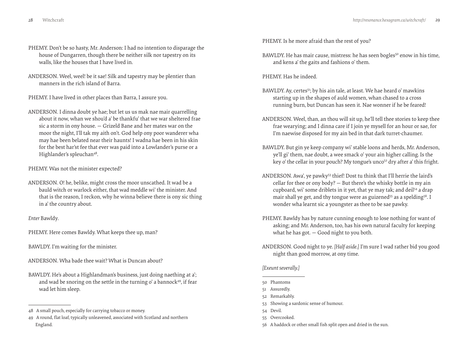- PHEMY. Don't be so hasty, Mr. Anderson: I had no intention to disparage the house of Dungarren, though there be neither silk nor tapestry on its walls, like the houses that I have lived in.
- ANDERSON. Weel, weel! be it sae! Silk and tapestry may be plentier than manners in the rich island of Barra.

PHEMY. I have lived in other places than Barra, I assure you.

ANDERSON. I dinna doubt ye hae; but let us us mak nae mair quarrelling about it now, whan we shou'd a' be thankfu' that we war sheltered frae sic a storm in ony house. — Grizeld Bane and her mates war on the moor the night, I'll tak my aith on't. God help ony poor wanderer wha may hae been belated near their haunts! I wadna hae been in his skin for the best har'st fee that ever was paid into a Lowlander's purse or a Highlander's spleuchan<sup>48</sup>.

PHEMY. Was not the minister expected?

ANDERSON. O! he, belike, might cross the moor unscathed. It wad be a bauld witch or warlock either, that wad meddle wi' the minister. And that is the reason, I reckon, why he winna believe there is ony sic thing in a' the country about.

#### *Enter* Bawldy*.*

PHEMY. Here comes Bawldy. What keeps thee up, man?

BAWLDY. I'm waiting for the minister.

ANDERSON. Wha bade thee wait? What is Duncan about?

BAWLDY. He's about a Highlandman's business, just doing naething at a'; and wad be snoring on the settle in the turning o' a bannock<sup>49</sup>, if fear wad let him sleep.

PHEMY. Is he more afraid than the rest of you?

BAWLDY. He has mair cause, mistress: he has seen bogles<sup>50</sup> enow in his time, and kens a' the gaits and fashions o' them.

PHEMY. Has he indeed.

- BAWLDY. Ay, certes<sup>51</sup>; by his ain tale, at least. We hae heard o' mawkins starting up in the shapes of auld women, whan chased to a cross running burn, but Duncan has seen it. Nae wonner if he be feared!
- ANDERSON. Weel, than, an thou will sit up, he'll tell thee stories to keep thee frae wearying; and I dinna care if I join ye mysell for an hour or sae, for I'm naewise disposed for my ain bed in that dark turret-chaumer.
- BAWLDY. But gin ye keep company wi' stable loons and herds, Mr. Anderson, ye'll gi' them, nae doubt, a wee smack o' your ain higher calling. Is the key o' the cellar in your pouch? My tongue's unco<sup>52</sup> dry after a' this fright.
- ANDERSON. Awa', ye pawky53 thief! Dost tu think that I'll herrie the laird's cellar for thee or ony body? — But there's the whisky bottle in my ain cupboard, wi' some driblets in it yet, that ye may tak; and deil<sup>54</sup> a drap mair shall ye get, and thy tongue were as guizened<sup>55</sup> as a spelding<sup>56</sup>. I wonder wha learnt sic a youngster as thee to be sae pawky.
- PHEMY. Bawldy has by nature cunning enough to lose nothing for want of asking; and Mr. Anderson, too, has his own natural faculty for keeping what he has got. — Good night to you both.
- ANDERSON. Good night to ye. *[Half aside.]* I'm sure I wad rather bid you good night than good morrow, at ony time.

#### *[Exeunt severally.]*

50 Phantoms

- 53 Showing a sardonic sense of humour.
- 54 Devil.
- 55 Overcooked.
- 56 A haddock or other small fish split open and dried in the sun.

<sup>48</sup> A small pouch, especially for carrying tobacco or money.

<sup>49</sup> A round, flat loaf, typically unleavened, associated with Scotland and northern England.

<sup>51</sup> Assuredly.

<sup>52</sup> Remarkably.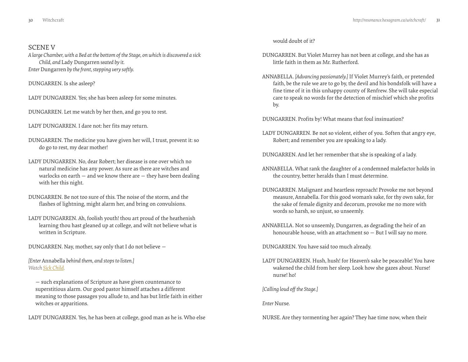# <span id="page-15-0"></span>SCENE V

*A large Chamber, with a Bed at the bottom of the Stage, on which is discovered a sick Child, and* Lady Dungarren *seated by it. Enter* Dungarren *by the front, stepping very softly.*

DUNGARREN. Is she asleep?

LADY DUNGARREN. Yes; she has been asleep for some minutes.

DUNGARREN. Let me watch by her then, and go you to rest.

LADY DUNGARREN. I dare not: her fits may return.

- DUNGARREN. The medicine you have given her will, I trust, prevent it: so do go to rest, my dear mother!
- LADY DUNGARREN. No, dear Robert; her disease is one over which no natural medicine has any power. As sure as there are witches and warlocks on earth — and we know there are — they have been dealing with her this night.
- DUNGARREN. Be not too sure of this. The noise of the storm, and the flashes of lightning, might alarm her, and bring on convulsions.
- LADY DUNGARREN. Ah, foolish youth! thou art proud of the heathenish learning thou hast gleaned up at college, and wilt not believe what is written in Scripture.

DUNGARREN. Nay, mother, say only that I do not believe —

*[Enter* Annabella *behind them, and stops to listen.] Watch [Sick Child.](http://vimeo.com/groups/134592/videos/40478847)*

— such explanations of Scripture as have given countenance to superstitious alarm. Our good pastor himself attaches a different meaning to those passages you allude to, and has but little faith in either witches or apparitions.

LADY DUNGARREN. Yes, he has been at college, good man as he is. Who else

would doubt of it?

- DUNGARREN. But Violet Murrey has not been at college, and she has as little faith in them as Mr. Rutherford.
- ANNABELLA. *[Advancing passionately.]* If Violet Murrey's faith, or pretended faith, be the rule we are to go by, the devil and his bondsfolk will have a fine time of it in this unhappy county of Renfrew. She will take especial care to speak no words for the detection of mischief which she profits by.

DUNGARREN. Profits by! What means that foul insinuation?

- LADY DUNGARREN. Be not so violent, either of you. Soften that angry eye, Robert; and remember you are speaking to a lady.
- DUNGARREN. And let her remember that she is speaking of a lady.
- ANNABELLA. What rank the daughter of a condemned malefactor holds in the country, better heralds than I must determine.
- DUNGARREN. Malignant and heartless reproach! Provoke me not beyond measure, Annabella. For this good woman's sake, for thy own sake, for the sake of female dignity and decorum, provoke me no more with words so harsh, so unjust, so unseemly.
- ANNABELLA. Not so unseemly, Dungarren, as degrading the heir of an honourable house, with an attachment so — But I will say no more.

DUNGARREN. You have said too much already.

LADY DUNGARREN. Hush, hush! for Heaven's sake be peaceable! You have wakened the child from her sleep. Look how she gazes about. Nurse! nurse! ho!

*[Calling loud off the Stage.]*

*Enter* Nurse*.*

NURSE. Are they tormenting her again? They hae time now, when their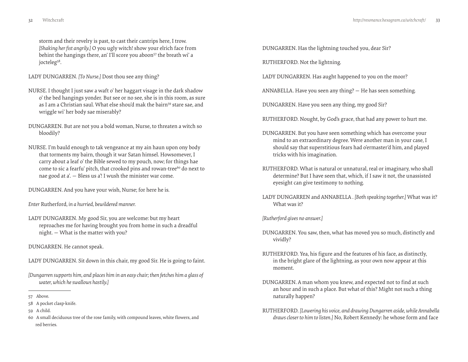storm and their revelry is past, to cast their cantrips here, I trow. *[Shaking her fist angrily.]* O you ugly witch! show your elrich face from behint the hangings there, an' I'll score you aboon<sup>57</sup> the breath wi' a jocteleg<sup>58</sup>.

LADY DUNGARREN. *[To Nurse.]* Dost thou see any thing?

- NURSE. I thought I just saw a waft o' her haggart visage in the dark shadow o' the bed hangings yonder. But see or no see, she is in this room, as sure as I am a Christian saul. What else shou'd mak the bairn<sup>59</sup> stare sae, and wriggle wi' her body sae miserably?
- DUNGARREN. But are not you a bold woman, Nurse, to threaten a witch so bloodily?
- NURSE. I'm bauld enough to tak vengeance at my ain haun upon ony body that torments my bairn, though it war Satan himsel. Howsomever, I carry about a leaf o' the Bible sewed to my pouch, now; for things hae come to sic a fearfu' pitch, that crooked pins and rowan-tree<sup>60</sup> do next to nae good at a'. — Bless us a'! I wush the minister war come.

DUNGARREN. And you have your wish, Nurse; for here he is.

*Enter* Rutherford*, in a hurried, bewildered manner.*

LADY DUNGARREN. My good Sir, you are welcome: but my heart reproaches me for having brought you from home in such a dreadful night. — What is the matter with you?

DUNGARREN. He cannot speak.

LADY DUNGARREN. Sit down in this chair, my good Sir. He is going to faint.

*[Dungarren supports him, and places him in an easy chair; then fetches him a glass of water, which he swallows hastily.]*

- 58 A pocket clasp-knife.
- 59 A child.
- 60 A small deciduous tree of the rose family, with compound leaves, white flowers, and red berries.

DUNGARREN. Has the lightning touched you, dear Sir?

RUTHERFORD. Not the lightning.

LADY DUNGARREN. Has aught happened to you on the moor?

ANNABELLA. Have you seen any thing? — He has seen something.

DUNGARREN. Have you seen any thing, my good Sir?

RUTHERFORD. Nought, by God's grace, that had any power to hurt me.

- DUNGARREN. But you have seen something which has overcome your mind to an extraordinary degree. Were another man in your case, I should say that superstitious fears had o'ermaster'd him, and played tricks with his imagination.
- RUTHERFORD. What is natural or unnatural, real or imaginary, who shall determine? But I have seen that, which, if I saw it not, the unassisted eyesight can give testimony to nothing.
- LADY DUNGARREN and ANNABELLA . *[Both speaking together.]* What was it? What was it?

*[Rutherford gives no answer.]*

- DUNGARREN. You saw, then, what has moved you so much, distinctly and vividly?
- RUTHERFORD. Yea, his figure and the features of his face, as distinctly, in the bright glare of the lightning, as your own now appear at this moment.
- DUNGARREN. A man whom you knew, and expected not to find at such an hour and in such a place. But what of this? Might not such a thing naturally happen?
- RUTHERFORD. *[Lowering his voice, and drawing Dungarren aside, while Annabella draws closer to him to listen.]* No, Robert Kennedy: he whose form and face

<sup>57</sup> Above.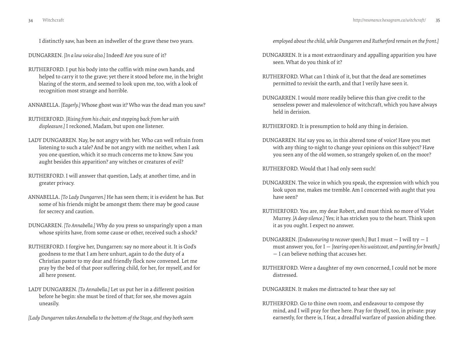I distinctly saw, has been an indweller of the grave these two years.

DUNGARREN. *[In a low voice also.]* Indeed! Are you sure of it?

RUTHERFORD. I put his body into the coffin with mine own hands, and helped to carry it to the grave; yet there it stood before me, in the bright blazing of the storm, and seemed to look upon me, too, with a look of recognition most strange and horrible.

ANNABELLA. *[Eagerly.]* Whose ghost was it? Who was the dead man you saw?

RUTHERFORD. *[Rising from his chair, and stepping back from her with displeasure.]* I reckoned, Madam, but upon one listener.

- LADY DUNGARREN. Nay, be not angry with her. Who can well refrain from listening to such a tale? And be not angry with me neither, when I ask you one question, which it so much concerns me to know. Saw you aught besides this apparition? any witches or creatures of evil?
- RUTHERFORD. I will answer that question, Lady, at another time, and in greater privacy.
- ANNABELLA. *[To Lady Dungarren.]* He has seen them; it is evident he has. But some of his friends might be amongst them: there may be good cause for secrecy and caution.
- DUNGARREN. *[To Annabella.]* Why do you press so unsparingly upon a man whose spirits have, from some cause or other, received such a shock?
- RUTHERFORD. I forgive her, Dungarren: say no more about it. It is God's goodness to me that I am here unhurt, again to do the duty of a Christian pastor to my dear and friendly flock now convened. Let me pray by the bed of that poor suffering child, for her, for myself, and for all here present.
- LADY DUNGARREN. *[To Annabella.]* Let us put her in a different position before he begin: she must be tired of that; for see, she moves again uneasily.

*[Lady Dungarren takes Annabella to the bottom of the Stage, and they both seem* 

*employed about the child, while Dungarren and Rutherford remain on the front.]*

- DUNGARREN. It is a most extraordinary and appalling apparition you have seen. What do you think of it?
- RUTHERFORD. What can I think of it, but that the dead are sometimes permitted to revisit the earth, and that I verily have seen it.
- DUNGARREN. I would more readily believe this than give credit to the senseless power and malevolence of witchcraft, which you have always held in derision.

RUTHERFORD. It is presumption to hold any thing in derision.

DUNGARREN. Ha! say you so, in this altered tone of voice! Have you met with any thing to-night to change your opinions on this subject? Have you seen any of the old women, so strangely spoken of, on the moor?

RUTHERFORD. Would that I had only seen such!

- DUNGARREN. The voice in which you speak, the expression with which you look upon me, makes me tremble. Am I concerned with aught that you have seen?
- RUTHERFORD. You are, my dear Robert, and must think no more of Violet Murrey. *[A deep silence.]* Yes; it has stricken you to the heart. Think upon it as you ought. I expect no answer.
- DUNGARREN. *[Endeavouring to recover speech.]* But I must I will try I must answer you, for I — *[tearing open his waistcoat, and panting for breath,]* — I can believe nothing that accuses her.
- RUTHERFORD. Were a daughter of my own concerned, I could not be more distressed.

DUNGARREN. It makes me distracted to hear thee say so!

RUTHERFORD. Go to thine own room, and endeavour to compose thy mind, and I will pray for thee here. Pray for thyself, too, in private: pray earnestly, for there is, I fear, a dreadful warfare of passion abiding thee.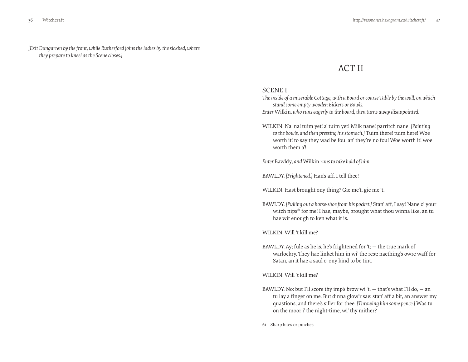<span id="page-18-0"></span>*[Exit Dungarren by the front, while Rutherford joins the ladies by the sickbed, where they prepare to kneel as the Scene closes.]*

# ACT II

# SCENE I

*The inside of a miserable Cottage, with a Board or coarse Table by the wall, on which stand some empty wooden Bickers or Bowls.*

*Enter* Wilkin*, who runs eagerly to the board, then turns away disappointed.*

WILKIN. Na, na! tuim yet! a' tuim yet! Milk nane! parritch nane! *[Pointing to the bowls, and then pressing his stomach.]* Tuim there! tuim here! Woe worth it! to say they wad be fou, an' they're no fou! Woe worth it! woe worth them a'!

*Enter* Bawldy*, and* Wilkin *runs to take hold of him.*

BAWLDY. *[Frightened.]* Han's aff, I tell thee!

WILKIN. Hast brought ony thing? Gie me't, gie me 't.

BAWLDY. *[Pulling out a horse-shoe from his pocket.]* Stan' aff, I say! Nane o' your witch nips<sup>61</sup> for me! I hae, maybe, brought what thou winna like, an tu hae wit enough to ken what it is.

WILKIN. Will 't kill me?

BAWLDY. Ay; fule as he is, he's frightened for 't; — the true mark of warlockry. They hae linket him in wi' the rest: naething's owre waff for Satan, an it hae a saul o' ony kind to be tint.

WILKIN. Will 't kill me?

BAWLDY. No: but I'll score thy imp's brow wi 't,  $-$  that's what I'll do,  $-$  an tu lay a finger on me. But dinna glow'r sae: stan' aff a bit, an answer my quastions, and there's siller for thee. *[Throwing him some pence.]* Was tu on the moor i' the night-time, wi' thy mither?

61 Sharp bites or pinches.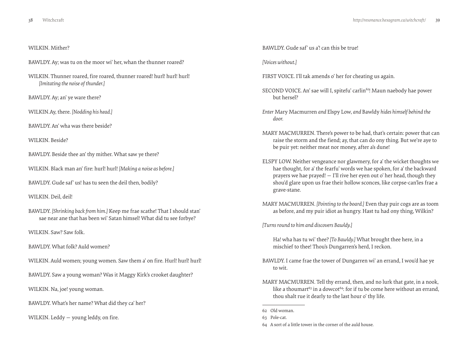#### WILKIN. Mither?

BAWLDY. Ay; was tu on the moor wi' her, whan the thunner roared?

WILKIN. Thunner roared, fire roared, thunner roared! hurl! hurl! hurl! *[Imitating the noise of thunder.]*

BAWLDY. Ay; an' ye ware there?

WILKIN.Ay, there. *[Nodding his head.]*

BAWLDY. An' wha was there beside?

WILKIN Beside?

BAWLDY. Beside thee an' thy mither. What saw ye there?

WILKIN. Black man an' fire: hurl! hurl! *[Making a noise as before.]*

BAWLDY. Gude saf' us! has tu seen the deil then, bodily?

WILKIN. Deil, deil!

BAWLDY. *[Shrinking back from him.]* Keep me frae scathe! That I should stan' sae near ane that has been wi' Satan himsel! What did tu see forbye?

WILKIN. Saw? Saw folk.

BAWLDY. What folk? Auld women?

WILKIN. Auld women; young women. Saw them a' on fire. Hurl! hurl! hurl!

BAWLDY. Saw a young woman? Was it Maggy Kirk's crooket daughter?

WILKIN. Na, joe! young woman.

BAWLDY. What's her name? What did they ca' her?

WILKIN. Leddy — young leddy, on fire.

BAWLDY. Gude saf' us a'! can this be true!

*[Voices without.]*

- FIRST VOICE. I'll tak amends o' her for cheating us again.
- SECOND VOICE. An' sae will I, spitefu' carlin<sup>62</sup>! Maun naebody hae power but hersel?
- *Enter* Mary Macmurren *and* Elspy Low*, and* Bawldy *hides himself behind the door.*
- MARY MACMURREN. There's power to be had, that's certain: power that can raise the storm and the fiend; ay, that can do ony thing. But we're aye to be puir yet: neither meat nor money, after a's dune!
- ELSPY LOW. Neither vengeance nor glawmery, for a' the wicket thoughts we hae thought, for a' the fearfu' words we hae spoken, for a' the backward prayers we hae prayed! — I'll rive her eyen out o' her head, though they shou'd glare upon us frae their hollow sconces, like corpse-can'les frae a grave-stane.
- MARY MACMURREN. *[Pointing to the board.]* Even thay puir cogs are as toom as before, and my puir idiot as hungry. Hast tu had ony thing, Wilkin?

*[Turns round to him and discovers Bawldy.]*

Ha! wha has tu wi' thee? *[To Bawldy.]* What brought thee here, in a mischief to thee! Thou's Dungarren's herd, I reckon.

- BAWLDY. I came frae the tower of Dungarren wi' an errand, I wou'd hae ye to wit.
- MARY MACMURREN. Tell thy errand, then, and no lurk that gate, in a nook, like a thoumart<sup>63</sup> in a dowcot<sup>64</sup>: for if tu be come here without an errand. thou shalt rue it dearly to the last hour o' thy life.

63 Pole-cat.

<sup>62</sup> Old woman.

<sup>64</sup> A sort of a little tower in the corner of the auld house.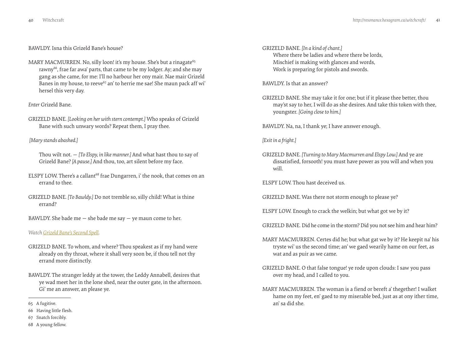# <span id="page-20-0"></span>BAWLDY. Isna this Grizeld Bane's house?

MARY MACMURREN. No, silly loon! it's my house. She's but a rinagate<sup>65</sup> rawny<sup>66</sup>, frae far awa' parts, that came to be my lodger. Ay; and she may gang as she came, for me: I'll no harbour her ony mair. Nae mair Grizeld Banes in my house, to reeve<sup>67</sup> an' to herrie me sae! She maun pack aff wi' hersel this very day.

# *Enter* Grizeld Bane*.*

GRIZELD BANE. *[Looking on her with stern contempt.]* Who speaks of Grizeld Bane with such unwary words? Repeat them, I pray thee.

# *[Mary stands abashed.]*

Thou wilt not. — *[To Elspy, in like manner.]* And what hast thou to say of Grizeld Bane? *[A pause.]* And thou, too, art silent before my face.

- ELSPY LOW. There's a callant<sup>68</sup> frae Dungarren, i' the nook, that comes on an errand to thee.
- GRIZELD BANE. *[To Bawldy.]* Do not tremble so, silly child! What is thine errand?
- BAWLDY. She bade me  $-$  she bade me say  $-$  ye maun come to her.

# *Watch [Grizeld Bane's Second Spell.](http://vimeo.com/groups/134592/videos/40497161)*

- GRIZELD BANE. To whom, and where? Thou speakest as if my hand were already on thy throat, where it shall very soon be, if thou tell not thy errand more distinctly.
- BAWLDY. The stranger leddy at the tower, the Leddy Annabell, desires that ye wad meet her in the lone shed, near the outer gate, in the afternoon. Gi' me an answer, an please ye.
- 65 A fugitive.
- 66 Having little flesh.
- 67 Snatch forcibly.
- 68 A young fellow.

GRIZELD BANE. *[In a kind of chant.]*  Where there be ladies and where there be lords, Mischief is making with glances and words, Work is preparing for pistols and swords.

BAWLDY. Is that an answer?

GRIZELD BANE. She may take it for one; but if it please thee better, thou may'st say to her, I will do as she desires. And take this token with thee, youngster. *[Going close to him.]*

BAWLDY. Na, na, I thank ye; I have answer enough.

# *[Exit in a fright.]*

GRIZELD BANE. *[Turning to Mary Macmurren and Elspy Low.]* And ye are dissatisfied, forsooth! you must have power as you will and when you will.

ELSPY LOW. Thou hast deceived us.

GRIZELD BANE. Was there not storm enough to please ye?

- ELSPY LOW. Enough to crack the welkin; but what got we by it?
- GRIZELD BANE. Did he come in the storm? Did you not see him and hear him?
- MARY MACMURREN. Certes did he; but what gat we by it? He keepit na' his tryste wi' us the second time; an' we gaed wearily hame on our feet, as wat and as puir as we came.
- GRIZELD BANE. O that false tongue! ye rode upon clouds: I saw you pass over my head, and I called to you.
- MARY MACMURREN. The woman is a fiend or bereft a' thegether! I walket hame on my feet, en' gaed to my miserable bed, just as at ony ither time, an' sa did she.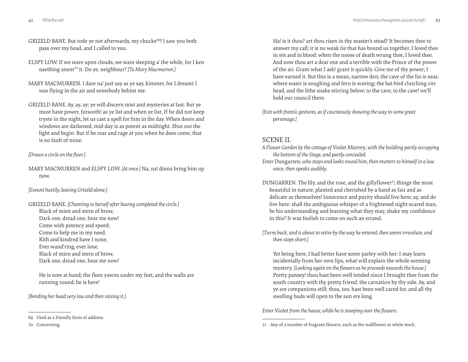- GRIZELD BANE. But rode ye not afterwards, my chucks<sup>69?</sup> I saw you both pass over my head, and I called to you.
- ELSPY LOW. If we ware upon clouds, we ware sleeping a' the while, for I ken naething anent70 it. Do ye, neighbour? *[To Mary Macmurren.]*
- MARY MACMURREN. I dare na' just say as ye say, kimmer, for I dreamt I was flying in the air and somebody behint me.
- GRIZELD BANE. Ay, ay, ay; ye will discern mist and mysteries at last. But ye must have power, forsooth! as ye list and when ye list. If he did not keep tryste in the night, let us cast a spell for him in the day. When doors and windows are darkened, mid-day is as potent as midnight. Shut out the light and begin. But if he roar and rage at you when he does come, that is no fault of mine.

*[Draws a circle on the floor.]*

MARY MACMURREN and ELSPY LOW. *[At once.]* Na, na! dinna bring him up now.

*[Exeunt hastily, leaving Grizeld alone.]*

GRIZELD BANE. *[Chanting to herself after having completed the circle.]* Black of mien and stern of brow, Dark one, dread one, hear me now! Come with potency and speed; Come to help me in my need. Kith and kindred have I none, Ever wand'ring, ever lone. Black of mien and stern of brow, Dark one, dread one, hear me now!

He is now at hand; the floor yawns under my feet, and the walls are running round; he is here!

*[Bending her head very low and then raising it.]*

Ha! is it thou? art thou risen in thy master's stead? It becomes thee to answer my call; it is no weak tie that has bound us together. I loved thee in sin and in blood: when the noose of death wrung thee, I loved thee. And now thou art a dear one and a terrible with the Prince of the power of the air. Grant what I ask! grant it quickly. Give me of thy power; I have earned it. But this is a mean, narrow den; the cave of the lin is near, where water is soughing and fern is waving; the bat-bird clutching o'er head, and the lithe snake stirring below; to the cave, to the cave! we'll hold our council there.

*[Exit with frantic gestures, as if courteously showing the way to some great personage.]*

#### SCENE II.

- *A Flower Garden by the cottage of* Violet Murrey*, with the building partly occupying the bottom of the Stage, and partly concealed.*
- *Enter* Dungarren*, who stops and looks round him, then mutters to himself in a low voice, then speaks audibly.*
- DUNGARREN. The lily, and the rose, and the gillyflower<sup>71</sup>; things the most beautiful in nature, planted and cherished by a hand as fair and as delicate as themselves! Innocence and purity should live here; ay, and do live here: shall the ambiguous whisper of a frightened night-scared man, be his understanding and learning what they may, shake my confidence in this? It was foolish to come on such an errand.

*[Turns back, and is about to retire by the way he entered, then seems irresolute, and then stops short.]*

Yet being here, I had better have some parley with her: I may learn incidentally from her own lips, what will explain the whole seeming mystery. *[Looking again on the flowers as he proceeds towards the house.]* Pretty pansey! thou hast been well tended since I brought thee from the south country with thy pretty friend, the carnation by thy side. Ay, and ye are companions still; thou, too, hast been well cared for, and all thy swelling buds will open to the sun ere long.

*Enter* Violet *from the house, while he is stooping over the flowers.*

<sup>69</sup> Used as a friendly form of address.

<sup>70</sup> Concerning.

<sup>71</sup> Any of a number of fragrant flowers, such as the wallflower or white stock.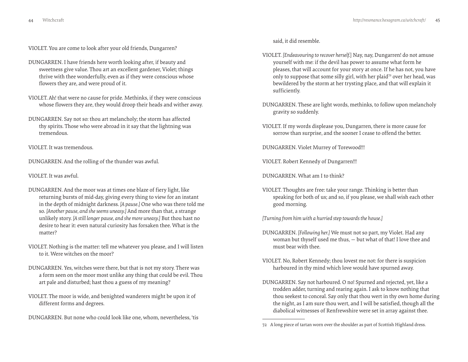VIOLET. You are come to look after your old friends, Dungarren?

- DUNGARREN. I have friends here worth looking after, if beauty and sweetness give value. Thou art an excellent gardener, Violet; things thrive with thee wonderfully, even as if they were conscious whose flowers they are, and were proud of it.
- VIOLET. Ah! that were no cause for pride. Methinks, if they were conscious whose flowers they are, they would droop their heads and wither away.
- DUNGARREN. Say not so: thou art melancholy; the storm has affected thy spirits. Those who were abroad in it say that the lightning was tremendous.

VIOLET. It was tremendous.

DUNGARREN. And the rolling of the thunder was awful.

VIOLET. It was awful.

- DUNGARREN. And the moor was at times one blaze of fiery light, like returning bursts of mid-day, giving every thing to view for an instant in the depth of midnight darkness. *[A pause.]* One who was there told me so. *[Another pause, and she seems uneasy.]* And more than that, a strange unlikely story. *[A still longer pause, and she more uneasy.]* But thou hast no desire to hear it: even natural curiosity has forsaken thee. What is the matter?
- VIOLET. Nothing is the matter: tell me whatever you please, and I will listen to it. Were witches on the moor?
- DUNGARREN. Yes, witches were there, but that is not my story. There was a form seen on the moor most unlike any thing that could be evil. Thou art pale and disturbed; hast thou a guess of my meaning?
- VIOLET. The moor is wide, and benighted wanderers might be upon it of different forms and degrees.
- DUNGARREN. But none who could look like one, whom, nevertheless, 'tis

said, it did resemble.

- VIOLET. *[Endeavouring to recover herself.*] Nay, nay, Dungarren! do not amuse yourself with me: if the devil has power to assume what form he pleases, that will account for your story at once. If he has not, you have only to suppose that some silly girl, with her plaid<sup>72</sup> over her head, was bewildered by the storm at her trysting place, and that will explain it sufficiently.
- DUNGARREN. These are light words, methinks, to follow upon melancholy gravity so suddenly.
- VIOLET. If my words displease you, Dungarren, there is more cause for sorrow than surprise, and the sooner I cease to offend the better.

DUNGARREN. Violet Murrey of Torewood!!!

VIOLET. Robert Kennedy of Dungarren!!!

DUNGARREN. What am I to think?

VIOLET. Thoughts are free: take your range. Thinking is better than speaking for both of us; and so, if you please, we shall wish each other good morning.

*[Turning from him with a hurried step towards the house.]*

- DUNGARREN. *[Following her.]* We must not so part, my Violet. Had any woman but thyself used me thus, — but what of that! I love thee and must bear with thee.
- VIOLET. No, Robert Kennedy; thou lovest me not: for there is suspicion harboured in thy mind which love would have spurned away.
- DUNGARREN. Say not harboured. O no! Spurned and rejected, yet, like a trodden adder, turning and rearing again. I ask to know nothing that thou seekest to conceal. Say only that thou wert in thy own home during the night, as I am sure thou wert, and I will be satisfied, though all the diabolical witnesses of Renfrewshire were set in array against thee.

<sup>72</sup> A long piece of tartan worn over the shoulder as part of Scottish Highland dress.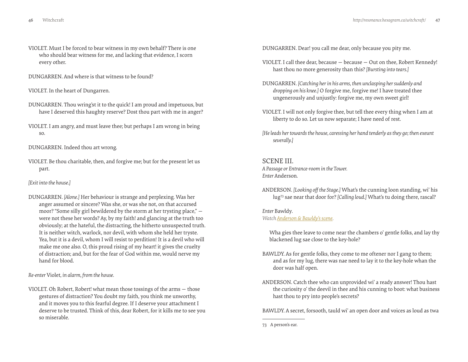- <span id="page-23-0"></span>VIOLET. Must I be forced to bear witness in my own behalf? There is one who should bear witness for me, and lacking that evidence, I scorn every other.
- DUNGARREN. And where is that witness to be found?
- VIOLET. In the heart of Dungarren.
- DUNGARREN. Thou wring'st it to the quick! I am proud and impetuous, but have I deserved this haughty reserve? Dost thou part with me in anger?
- VIOLET. I am angry, and must leave thee; but perhaps I am wrong in being so.
- DUNGARREN. Indeed thou art wrong.
- VIOLET. Be thou charitable, then, and forgive me; but for the present let us part.

#### *[Exit into the house.]*

DUNGARREN. *[Alone.]* Her behaviour is strange and perplexing. Was her anger assumed or sincere? Was she, or was she not, on that accursed moor? "Some silly girl bewildered by the storm at her trysting place," were not these her words? Ay, by my faith! and glancing at the truth too obviously; at the hateful, the distracting, the hitherto unsuspected truth. It is neither witch, warlock, nor devil, with whom she held her tryste. Yea, but it is a devil, whom I will resist to perdition! It is a devil who will make me one also. O, this proud rising of my heart! it gives the cruelty of distraction; and, but for the fear of God within me, would nerve my hand for blood.

*Re-enter* Violet*, in alarm, from the house.*

VIOLET. Oh Robert, Robert! what mean those tossings of the arms — those gestures of distraction? You doubt my faith, you think me unworthy, and it moves you to this fearful degree. If I deserve your attachment I deserve to be trusted. Think of this, dear Robert, for it kills me to see you so miserable.

DUNGARREN. Dear! you call me dear, only because you pity me.

- VIOLET. I call thee dear, because because Out on thee, Robert Kennedy! hast thou no more generosity than this? *[Bursting into tears.]*
- DUNGARREN. *[Catching her in his arms, then unclasping her suddenly and dropping on his knee.]* O forgive me, forgive me! I have treated thee ungenerously and unjustly: forgive me, my own sweet girl!
- VIOLET. I will not only forgive thee, but tell thee every thing when I am at liberty to do so. Let us now separate; I have need of rest.
- *[He leads her towards the house, caressing her hand tenderly as they go; then exeunt severally.]*

# SCENE III.

*A Passage or Entrance-room in the Tower. Enter* Anderson*.*

ANDERSON. *[Looking off the Stage.]* What's the cunning loon standing, wi' his lug73 sae near that door for? *[Calling loud.]* What's tu doing there, rascal?

# *Enter* Bawldy*.*

### *Watch [Anderson & Bawldy's scene.](http://vimeo.com/groups/134592/videos/41267359)*

Wha gies thee leave to come near the chambers o' gentle folks, and lay thy blackened lug sae close to the key-hole?

- BAWLDY. As for gentle folks, they come to me oftener nor I gang to them; and as for my lug, there was nae need to lay it to the key-hole whan the door was half open.
- ANDERSON. Catch thee who can unprovided wi' a ready answer! Thou hast the curiosity o' the deevil in thee and his cunning to boot: what business hast thou to pry into people's secrets?

BAWLDY. A secret, forsooth, tauld wi' an open door and voices as loud as twa

<sup>73</sup> A person's ear.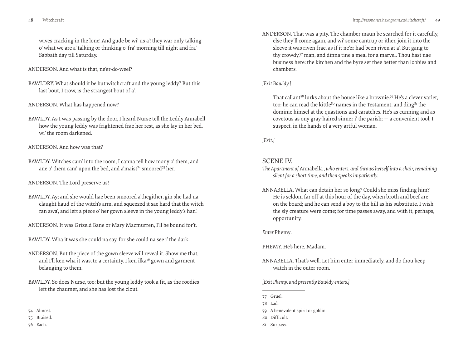wives cracking in the lone! And gude be wi' us a'! they war only talking o' what we are a' talking or thinking o' fra' morning till night and fra' Sabbath day till Saturday.

ANDERSON. And what is that, ne'er-do-weel?

BAWLDRY. What should it be but witchcraft and the young leddy? But this last bout, I trow, is the strangest bout of a'.

#### ANDERSON. What has happened now?

BAWLDY. As I was passing by the door, I heard Nurse tell the Leddy Annabell how the young leddy was frightened frae her rest, as she lay in her bed, wi' the room darkened.

#### ANDERSON. And how was that?

BAWLDY. Witches cam' into the room, I canna tell how mony o' them, and ane o' them cam' upon the bed, and a'maist<sup>74</sup> smoored<sup>75</sup> her.

#### ANDERSON. The Lord preserve us!

- BAWLDY. Ay; and she would hae been smoored a'thegither, gin she had na claught haud of the witch's arm, and squeezed it sae hard that the witch ran awa', and left a piece o' her gown sleeve in the young leddy's han'.
- ANDERSON. It was Grizeld Bane or Mary Macmurren, I'll be bound for't.
- BAWLDY. Wha it was she could na say, for she could na see i' the dark.
- ANDERSON. But the piece of the gown sleeve will reveal it. Show me that, and I'll ken wha it was, to a certainty. I ken ilka<sup>76</sup> gown and garment belanging to them.
- BAWLDY. So does Nurse, too: but the young leddy took a fit, as the roodies left the chaumer, and she has lost the clout.

76 Each.

ANDERSON. That was a pity. The chamber maun be searched for it carefully, else they'll come again, and wi' some cantrup or ither, join it into the sleeve it was riven frae, as if it ne'er had been riven at a'. But gang to thy crowdy,<sup>77</sup> man, and dinna tine a meal for a marvel. Thou hast nae business here: the kitchen and the byre set thee better than lobbies and chambers.

#### *[Exit Bawldy.]*

That callant<sup>78</sup> lurks about the house like a brownie.<sup>79</sup> He's a clever varlet, too: he can read the kittle<sup>80</sup> names in the Testament, and ding<sup>81</sup> the dominie himsel at the quastions and caratches. He's as cunning and as covetous as ony gray-haired sinner i' the parish; — a convenient tool, I suspect, in the hands of a very artful woman.

### *[Exit.]*

# SCENE IV.

- *The Apartment of* Annabella *, who enters, and throws herself into a chair, remaining silent for a short time, and then speaks impatiently.*
- ANNABELLA. What can detain her so long? Could she miss finding him? He is seldom far off at this hour of the day, when broth and beef are on the board; and he can send a boy to the hill as his substitute. I wish the sly creature were come; for time passes away, and with it, perhaps, opportunity.

#### *Enter* Phemy*.*

PHEMY. He's here, Madam.

ANNABELLA. That's well. Let him enter immediately, and do thou keep watch in the outer room.

*[Exit Phemy, and presently Bawldy enters.]*

- 77 Gruel.
- 78 Lad.
- 79 A benevolent spirit or goblin.
- 80 Difficult.
- 81 Surpass.

<sup>74</sup> Almost.

<sup>75</sup> Braised.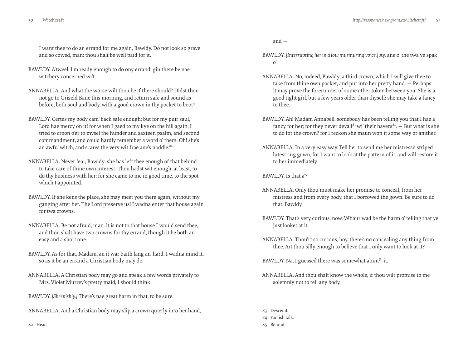I want thee to do an errand for me again, Bawldy. Do not look so grave and so cowed, man: thou shalt be well paid for it.

- BAWLDY. A'tweel, I'm ready enough to do ony errand, gin there be nae witchery concerned wi't.
- ANNABELLA. And what the worse wilt thou be if there should? Didst thou not go to Grizeld Bane this morning, and return safe and sound as before, both soul and body, with a good crown in thy pocket to boot?
- BAWLDY. Certes my body cam' back safe enough; but for my puir saul, Lord hae mercy on it! for when I gaed to my kye on the hill again, I tried to croon o'er to mysel the hunder and saxteen psalm, and second commandment, and could hardly remember a word o' them. Oh! she's an awfu' witch, and scares the very wit frae ane's noddle.<sup>82</sup>
- ANNABELLA. Never fear, Bawldy: she has left thee enough of that behind to take care of thine own interest. Thou hadst wit enough, at least, to do thy business with her; for she came to me in good time, to the spot which I appointed.
- BAWLDY. If she kens the place, she may meet you there again, without my ganging after her. The Lord preserve us! I wadna enter that house again for twa crowns.
- ANNABELLA. Be not afraid, man: it is not to that house I would send thee; and thou shalt have two crowns for thy errand, though it be both an easy and a short one.
- BAWLDY. As for that, Madam, an it war baith lang an' hard, I wadna mind it, so as it be an errand a Christian body may do.
- ANNABELLA. A Christian body may go and speak a few words privately to Mrs. Violet Murrey's pretty maid, I should think.
- BAWLDY. *[Sheepishly.]* There's nae great harm in that, to be sure.
- ANNABELLA. And a Christian body may slip a crown quietly into her hand,

and —

- BAWLDY. *[Interrupting her in a low murmuring voice.]* Ay, ane o' the twa ye spak o'.
- ANNABELLA. No, indeed, Bawldy; a third crown, which I will give thee to take from thine own pocket, and put into her pretty hand. — Perhaps it may prove the forerunner of some other token between you. She is a good tight girl, but a few years older than thyself: she may take a fancy to thee.
- BAWLDY. Ah! Madam Annabell, somebody has been telling you that I hae a fancy for her; for they never devall<sup>83</sup> wi' their havers<sup>84</sup>.  $-$  But what is she to do for the crown? for I reckon she maun won it some way or anither.
- ANNABELLA. In a very easy way. Tell her to send me her mistress's striped lutestring gown, for I want to look at the pattern of it, and will restore it to her immediately.

BAWLDY. Is that a'?

- ANNABELLA. Only thou must make her promise to conceal, from her mistress and from every body, that I borrowed the gown. Be sure to do that, Bawldy.
- BAWLDY. That's very curious, now. Whaur wad be the harm o' telling that ye just looket at it.
- ANNABELLA. Thou'rt so curious, boy, there's no concealing any thing from thee. Art thou silly enough to believe that I only want to look at it?

BAWLDY. Na, I guessed there was somewhat ahint<sup>85</sup> it.

- ANNABELLA. And thou shalt know the whole, if thou wilt promise to me solemnly not to tell any body.
- 83 Descend.

82 Head.

<sup>84</sup> Foolish talk.

<sup>85</sup> Behind.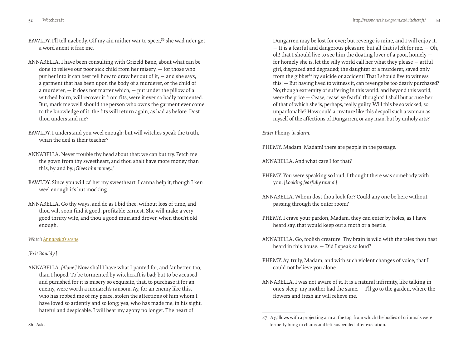- <span id="page-26-0"></span>BAWLDY. I'll tell naebody. Gif my ain mither war to speer,<sup>86</sup> she wad ne'er get a word anent it frae me.
- ANNABELLA. I have been consulting with Grizeld Bane, about what can be done to relieve our poor sick child from her misery, — for those who put her into it can best tell how to draw her out of it, — and she says, a garment that has been upon the body of a murderer, or the child of a murderer,  $-$  it does not matter which,  $-$  put under the pillow of a witched bairn, will recover it from fits, were it ever so badly tormented. But, mark me well! should the person who owns the garment ever come to the knowledge of it, the fits will return again, as bad as before. Dost thou understand me?
- BAWLDY. I understand you weel enough: but will witches speak the truth, whan the deil is their teacher?
- ANNABELLA. Never trouble thy head about that: we can but try. Fetch me the gown from thy sweetheart, and thou shalt have more money than this, by and by. *[Gives him money.]*
- BAWLDY. Since you will ca' her my sweetheart, I canna help it; though I ken weel enough it's but mocking.
- ANNABELLA. Go thy ways, and do as I bid thee, without loss of time, and thou wilt soon find it good, profitable earnest. She will make a very good thrifty wife, and thou a good muirland drover, when thou'rt old enough.

# *Watch [Annabella's scene.](http://vimeo.com/groups/134592/videos/41290846)*

# *[Exit Bawldy.]*

ANNABELLA. *[Alone.]* Now shall I have what I panted for, and far better, too, than I hoped. To be tormented by witchcraft is bad; but to be accused and punished for it is misery so exquisite, that, to purchase it for an enemy, were worth a monarch's ransom. Ay, for an enemy like this, who has robbed me of my peace, stolen the affections of him whom I have loved so ardently and so long; yea, who has made me, in his sight, hateful and despicable. I will bear my agony no longer. The heart of

Dungarren may be lost for ever; but revenge is mine, and I will enjoy it. — It is a fearful and dangerous pleasure, but all that is left for me. — Oh, oh! that I should live to see him the doating lover of a poor, homely for homely she is, let the silly world call her what they please — artful girl, disgraced and degraded; the daughter of a murderer, saved only from the gibbet<sup>87</sup> by suicide or accident! That I should live to witness this! — But having lived to witness it, can revenge be too dearly purchased? No; though extremity of suffering in this world, and beyond this world, were the price — Cease, cease! ye fearful thoughts! I shall but accuse her of that of which she is, perhaps, really guilty. Will this be so wicked, so unpardonable? How could a creature like this despoil such a woman as myself of the affections of Dungarren, or any man, but by unholy arts?

*Enter* Phem*y in alarm.*

PHEMY. Madam, Madam! there are people in the passage.

ANNABELLA. And what care I for that?

- PHEMY. You were speaking so loud, I thought there was somebody with you. *[Looking fearfully round.]*
- ANNABELLA. Whom dost thou look for? Could any one be here without passing through the outer room?
- PHEMY. I crave your pardon, Madam, they can enter by holes, as I have heard say, that would keep out a moth or a beetle.
- ANNABELLA. Go, foolish creature! Thy brain is wild with the tales thou hast heard in this house. — Did I speak so loud?
- PHEMY. Ay, truly, Madam, and with such violent changes of voice, that I could not believe you alone.
- ANNABELLA. I was not aware of it. It is a natural infirmity, like talking in one's sleep: my mother had the same. — I'll go to the garden, where the flowers and fresh air will relieve me.

<sup>87</sup> A gallows with a projecting arm at the top, from which the bodies of criminals were formerly hung in chains and left suspended after execution.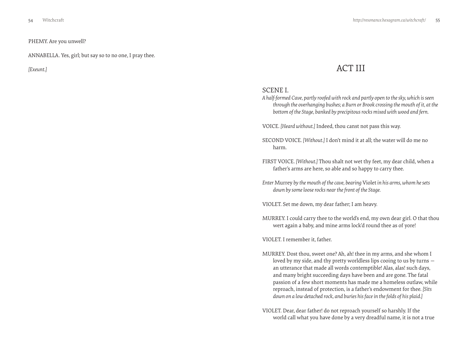<span id="page-27-0"></span>PHEMY. Are you unwell?

ANNABELLA. Yes, girl; but say so to no one, I pray thee.

# *[Exeunt.]* ACT III

# SCENE I.

*A half-formed Cave, partly roofed with rock and partly open to the sky, which is seen through the overhanging bushes; a Burn or Brook crossing the mouth of it, at the bottom of the Stage, banked by precipitous rocks mixed with wood and fern.*

VOICE. *[Heard without.]* Indeed, thou canst not pass this way.

- SECOND VOICE. *[Without.]* I don't mind it at all; the water will do me no harm.
- FIRST VOICE. *[Without.]* Thou shalt not wet thy feet, my dear child, when a father's arms are here, so able and so happy to carry thee.
- *Enter* Murrey *by the mouth of the cave, bearing* Violet *in his arms, whom he sets down by some loose rocks near the front of the Stage.*

VIOLET. Set me down, my dear father; I am heavy.

MURREY. I could carry thee to the world's end, my own dear girl. O that thou wert again a baby, and mine arms lock'd round thee as of yore!

VIOLET. I remember it, father.

- MURREY. Dost thou, sweet one? Ah, ah! thee in my arms, and she whom I loved by my side, and thy pretty worldless lips cooing to us by turns an utterance that made all words contemptible! Alas, alas! such days, and many bright succeeding days have been and are gone. The fatal passion of a few short moments has made me a homeless outlaw, while reproach, instead of protection, is a father's endowment for thee. *[Sits down on a low detached rock, and buries his face in the folds of his plaid.]*
- VIOLET. Dear, dear father! do not reproach yourself so harshly. If the world call what you have done by a very dreadful name, it is not a true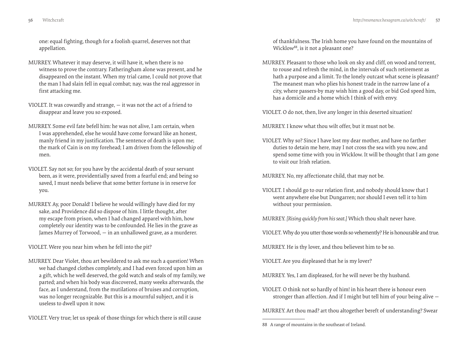one: equal fighting, though for a foolish quarrel, deserves not that appellation.

- MURREY. Whatever it may deserve, it will have it, when there is no witness to prove the contrary. Fatheringham alone was present, and he disappeared on the instant. When my trial came, I could not prove that the man I had slain fell in equal combat; nay, was the real aggressor in first attacking me.
- VIOLET. It was cowardly and strange, it was not the act of a friend to disappear and leave you so exposed.
- MURREY. Some evil fate befell him: he was not alive, I am certain, when I was apprehended, else he would have come forward like an honest, manly friend in my justification. The sentence of death is upon me; the mark of Cain is on my forehead; I am driven from the fellowship of men.
- VIOLET. Say not so; for you have by the accidental death of your servant been, as it were, providentially saved from a fearful end; and being so saved, I must needs believe that some better fortune is in reserve for you.
- MURREY. Ay, poor Donald! I believe he would willingly have died for my sake, and Providence did so dispose of him. I little thought, after my escape from prison, when I had changed apparel with him, how completely our identity was to be confounded. He lies in the grave as James Murrey of Torwood, — in an unhallowed grave, as a murderer.

VIOLET. Were you near him when he fell into the pit?

MURREY. Dear Violet, thou art bewildered to ask me such a question! When we had changed clothes completely, and I had even forced upon him as a gift, which he well deserved, the gold watch and seals of my family, we parted; and when his body was discovered, many weeks afterwards, the face, as I understand, from the mutilations of bruises and corruption, was no longer recognizable. But this is a mournful subject, and it is useless to dwell upon it now.

VIOLET. Very true; let us speak of those things for which there is still cause

of thankfulness. The Irish home you have found on the mountains of Wicklow<sup>88</sup>, is it not a pleasant one?

MURREY. Pleasant to those who look on sky and cliff, on wood and torrent, to rouse and refresh the mind, in the intervals of such retirement as hath a purpose and a limit. To the lonely outcast what scene is pleasant? The meanest man who plies his honest trade in the narrow lane of a city, where passers-by may wish him a good day, or bid God speed him, has a domicile and a home which I think of with envy.

VIOLET. O do not, then, live any longer in this deserted situation!

MURREY. I know what thou wilt offer, but it must not be.

VIOLET. Why so? Since I have lost my dear mother, and have no farther duties to detain me here, may I not cross the sea with you now, and spend some time with you in Wicklow. It will be thought that I am gone to visit our Irish relation.

MURREY. No, my affectionate child, that may not be.

VIOLET. I should go to our relation first, and nobody should know that I went anywhere else but Dungarren; nor should I even tell it to him without your permission.

MURREY. *[Rising quickly from his seat.]* Which thou shalt never have.

VIOLET. Why do you utter those words so vehemently? He is honourable and true.

MURREY. He is thy lover, and thou believest him to be so.

VIOLET. Are you displeased that he is my lover?

MURREY. Yes, I am displeased, for he will never be thy husband.

VIOLET. O think not so hardly of him! in his heart there is honour even stronger than affection. And if I might but tell him of your being alive —

MURREY. Art thou mad? art thou altogether bereft of understanding? Swear

<sup>88</sup> A range of mountains in the southeast of Ireland.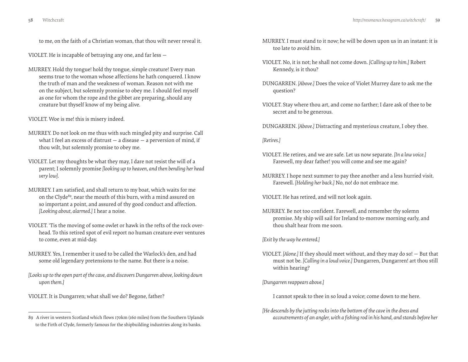to me, on the faith of a Christian woman, that thou wilt never reveal it.

VIOLET. He is incapable of betraying any one, and far less —

- MURREY. Hold thy tongue! hold thy tongue, simple creature! Every man seems true to the woman whose affections he hath conquered. I know the truth of man and the weakness of woman. Reason not with me on the subject, but solemnly promise to obey me. I should feel myself as one for whom the rope and the gibbet are preparing, should any creature but thyself know of my being alive.
- VIOLET. Woe is me! this is misery indeed.
- MURREY. Do not look on me thus with such mingled pity and surprise. Call what I feel an excess of distrust  $-$  a disease  $-$  a perversion of mind, if thou wilt, but solemnly promise to obey me.
- VIOLET. Let my thoughts be what they may, I dare not resist the will of a parent; I solemnly promise *[looking up to heaven, and then bending her head very low]*.
- MURREY. I am satisfied, and shall return to my boat, which waits for me on the Clyde<sup>89</sup>, near the mouth of this burn, with a mind assured on so important a point, and assured of thy good conduct and affection. *[Looking about, alarmed.]* I hear a noise.
- VIOLET. 'Tis the moving of some owlet or hawk in the refts of the rock overhead. To this retired spot of evil report no human creature ever ventures to come, even at mid-day.
- MURREY. Yes, I remember it used to be called the Warlock's den, and had some old legendary pretensions to the name. But there is a noise.
- *[Looks up to the open part of the cave, and discovers Dungarren above, looking down upon them.]*
- VIOLET. It is Dungarren; what shall we do? Begone, father?
- MURREY. I must stand to it now; he will be down upon us in an instant: it is too late to avoid him.
- VIOLET. No, it is not; he shall not come down. *[Calling up to him.]* Robert Kennedy, is it thou?
- DUNGARREN. *[Above.]* Does the voice of Violet Murrey dare to ask me the question?
- VIOLET. Stay where thou art, and come no farther; I dare ask of thee to be secret and to be generous.
- DUNGARREN. *[Above.]* Distracting and mysterious creature, I obey thee.

#### *[Retires.]*

- VIOLET. He retires, and we are safe. Let us now separate. *[In a low voice.]* Farewell, my dear father! you will come and see me again?
- MURREY. I hope next summer to pay thee another and a less hurried visit. Farewell. *[Holding her back.]* No, no! do not embrace me.

VIOLET. He has retired, and will not look again.

MURREY. Be not too confident. Farewell, and remember thy solemn promise. My ship will sail for Ireland to-morrow morning early, and thou shalt hear from me soon.

*[Exit by the way he entered.]*

VIOLET. *[Alone.]* If they should meet without, and they may do so! — But that must not be. *[Calling in a loud voice.]* Dungarren, Dungarren! art thou still within hearing?

*[Dungarren reappears above.]*

I cannot speak to thee in so loud a voice; come down to me here.

*[He descends by the jutting rocks into the bottom of the cave in the dress and accoutrements of an angler, with a fishing rod in his hand, and stands before her* 

<sup>89</sup> A river in western Scotland which flows 170km (160 miles) from the Southern Uplands to the Firth of Clyde, formerly famous for the shipbuilding industries along its banks.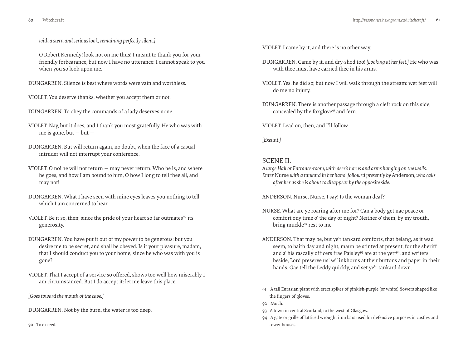*with a stern and serious look, remaining perfectly silent.]*

O Robert Kennedy! look not on me thus! I meant to thank you for your friendly forbearance, but now I have no utterance: I cannot speak to you when you so look upon me.

DUNGARREN. Silence is best where words were vain and worthless.

VIOLET. You deserve thanks, whether you accept them or not.

DUNGARREN. To obey the commands of a lady deserves none.

- VIOLET. Nay, but it does, and I thank you most gratefully. He who was with me is gone, but  $-$  but  $-$
- DUNGARREN. But will return again, no doubt, when the face of a casual intruder will not interrupt your conference.
- VIOLET. O no! he will not return may never return. Who he is, and where he goes, and how I am bound to him, O how I long to tell thee all, and may not!
- DUNGARREN. What I have seen with mine eyes leaves you nothing to tell which I am concerned to hear.
- VIOLET. Be it so, then; since the pride of your heart so far outmates<sup>90</sup> its generosity.
- DUNGARREN. You have put it out of my power to be generous; but you desire me to be secret, and shall be obeyed. Is it your pleasure, madam, that I should conduct you to your home, since he who was with you is gone?
- VIOLET. That I accept of a service so offered, shows too well how miserably I am circumstanced. But I do accept it: let me leave this place.

*[Goes toward the mouth of the cave.]*

DUNGARREN. Not by the burn, the water is too deep.

VIOLET. I came by it, and there is no other way.

- DUNGARREN. Came by it, and dry-shod too! *[Looking at her feet.]* He who was with thee must have carried thee in his arms.
- VIOLET. Yes, he did so; but now I will walk through the stream: wet feet will do me no injury.
- DUNGARREN. There is another passage through a cleft rock on this side, concealed by the foxglove<sup>91</sup> and fern.

VIOLET. Lead on, then, and I'll follow.

*[Exeunt.]*

# SCENE II.

*A large Hall or Entrance-room, with deer's horns and arms hanging on the walls. Enter* Nurse *with a tankard in her hand, followed presently by* Anderson*, who calls after her as she is about to disappear by the opposite side.*

ANDERSON. Nurse, Nurse, I say! Is the woman deaf?

- NURSE. What are ye roaring after me for? Can a body get nae peace or comfort ony time o' the day or night? Neither o' them, by my trouth, bring muckle<sup>92</sup> rest to me.
- ANDERSON. That may be, but ye'r tankard comforts, that belang, as it wad seem, to baith day and night, maun be stinted at present; for the sheriff and a' his rascally officers frae Paisley<sup>93</sup> are at the yett<sup>94</sup>, and writers beside, Lord preserve us! wi' inkhorns at their buttons and paper in their hands. Gae tell the Leddy quickly, and set ye'r tankard down.

90 To exceed.

<sup>91</sup> A tall Eurasian plant with erect spikes of pinkish-purple (or white) flowers shaped like the fingers of gloves.

<sup>92</sup> Much.

<sup>93</sup> A town in central Scotland, to the west of Glasgow.

<sup>94</sup> A gate or grille of latticed wrought iron bars used for defensive purposes in castles and tower houses.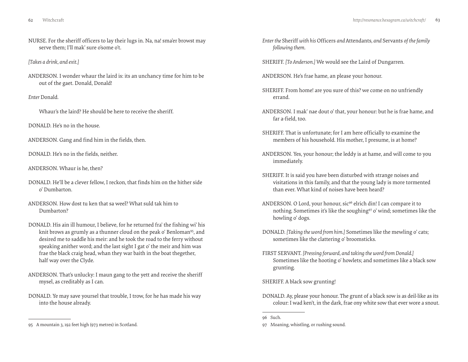NURSE. For the sheriff officers to lay their lugs in. Na, na! sma'er browst may serve them; I'll mak' sure o'some o't.

*[Takes a drink, and exit.]*

ANDERSON. I wonder whaur the laird is: its an unchancy time for him to be out of the gaet. Donald, Donald!

#### *Enter* Donald*.*

Whaur's the laird? He should be here to receive the sheriff.

DONALD. He's no in the house.

ANDERSON. Gang and find him in the fields, then.

DONALD. He's no in the fields, neither.

ANDERSON. Whaur is he, then?

- DONALD. He'll be a clever fellow, I reckon, that finds him on the hither side o' Dumbarton.
- ANDERSON. How dost tu ken that sa weel? What suld tak him to Dumbarton?
- DONALD. His ain ill humour, I believe, for he returned fra' the fishing wi' his knit brows as grumly as a thunner cloud on the peak o' Benloman<sup>95</sup>, and desired me to saddle his meir: and he took the road to the ferry without speaking anither word; and the last sight I gat o' the meir and him was frae the black craig head, whan they war baith in the boat thegether, half way over the Clyde.
- ANDERSON. That's unlucky: I maun gang to the yett and receive the sheriff mysel, as creditably as I can.
- DONALD. Ye may save yoursel that trouble, I trow, for he has made his way into the house already.
- *Enter the* Sheriff *with his* Officers *and* Attendants*, and* Servants *of the family following them.*
- SHERIFF. *[To Anderson.]* We would see the Laird of Dungarren.
- ANDERSON. He's frae hame, an please your honour.
- SHERIFF. From home! are you sure of this? we come on no unfriendly errand.
- ANDERSON. I mak' nae dout o' that, your honour: but he is frae hame, and far a-field, too.
- SHERIFF. That is unfortunate; for I am here officially to examine the members of his household. His mother, I presume, is at home?
- ANDERSON. Yes, your honour; the leddy is at hame, and will come to you immediately.
- SHERIFF. It is said you have been disturbed with strange noises and visitations in this family, and that the young lady is more tormented than ever. What kind of noises have been heard?
- ANDERSON. O Lord, your honour, sic<sup>96</sup> elrich din! I can compare it to nothing. Sometimes it's like the soughing<sup>97</sup> o' wind; sometimes like the howling o' dogs.
- DONALD. *[Taking the word from him.]* Sometimes like the mewling o' cats; sometimes like the clattering o' broomsticks.
- FIRST SERVANT. *[Pressing forward, and taking the word from Donald.]* Sometimes like the hooting o' howlets; and sometimes like a black sow grunting.

SHERIFF. A black sow grunting!

DONALD. Ay, please your honour. The grunt of a black sow is as deil-like as its colour: I wad ken't, in the dark, frae ony white sow that ever wore a snout.

<sup>95</sup> A mountain 3, 192 feet high (973 metres) in Scotland.

<sup>96</sup> Such.

<sup>97</sup> Moaning, whistling, or rushing sound.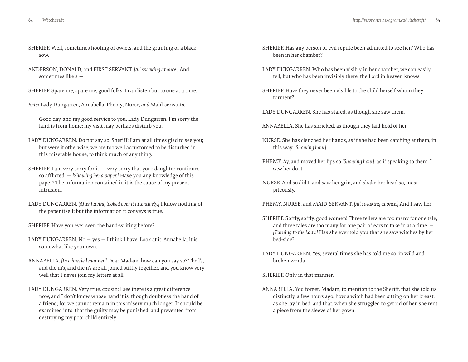- SHERIFF. Well, sometimes hooting of owlets, and the grunting of a black sow.
- ANDERSON, DONALD, and FIRST SERVANT. *[All speaking at once.]* And sometimes like a —
- SHERIFF. Spare me, spare me, good folks! I can listen but to one at a time.
- *Enter* Lady Dungarren*,* Annabella*,* Phemy*,* Nurse*, and* Maid-servants.

Good day, and my good service to you, Lady Dungarren. I'm sorry the laird is from home: my visit may perhaps disturb you.

- LADY DUNGARREN. Do not say so, Sheriff; I am at all times glad to see you; but were it otherwise, we are too well accustomed to be disturbed in this miserable house, to think much of any thing.
- SHERIFF. I am very sorry for it,  $-$  very sorry that your daughter continues so afflicted. — *[Showing her a paper.]* Have you any knowledge of this paper? The information contained in it is the cause of my present intrusion.
- LADY DUNGARREN. *[After having looked over it attentively.]* I know nothing of the paper itself; but the information it conveys is true.
- SHERIFF. Have you ever seen the hand-writing before?
- LADY DUNGARREN. No yes I think I have. Look at it, Annabella: it is somewhat like your own.
- ANNABELLA. *[In a hurried manner.]* Dear Madam, how can you say so? The l's, and the m's, and the n's are all joined stiffly together, and you know very well that I never join my letters at all.
- LADY DUNGARREN. Very true, cousin; I see there is a great difference now, and I don't know whose hand it is, though doubtless the hand of a friend; for we cannot remain in this misery much longer. It should be examined into, that the guilty may be punished, and prevented from destroying my poor child entirely.
- SHERIFF. Has any person of evil repute been admitted to see her? Who has been in her chamber?
- LADY DUNGARREN. Who has been visibly in her chamber, we can easily tell; but who has been invisibly there, the Lord in heaven knows.
- SHERIFF. Have they never been visible to the child herself whom they torment?
- LADY DUNGARREN. She has stared, as though she saw them.
- ANNABELLA. She has shrieked, as though they laid hold of her.
- NURSE. She has clenched her hands, as if she had been catching at them, in this way. *[Showing how.]*
- PHEMY. Ay, and moved her lips so *[Showing how.]*, as if speaking to them. I saw her do it.
- NURSE. And so did I; and saw her grin, and shake her head so, most piteously.
- PHEMY, NURSE, and MAID-SERVANT. *[All speaking at once.]* And I saw her—
- SHERIFF. Softly, softly, good women! Three tellers are too many for one tale, and three tales are too many for one pair of ears to take in at a time. — *[Turning to the Lady.]* Has she ever told you that she saw witches by her bed-side?
- LADY DUNGARREN. Yes; several times she has told me so, in wild and broken words.

SHERIFF. Only in that manner.

ANNABELLA. You forget, Madam, to mention to the Sheriff, that she told us distinctly, a few hours ago, how a witch had been sitting on her breast, as she lay in bed; and that, when she struggled to get rid of her, she rent a piece from the sleeve of her gown.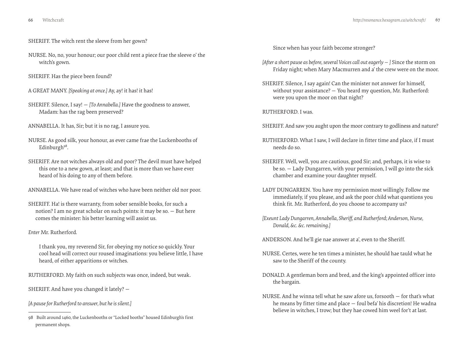- SHERIFF. The witch rent the sleeve from her gown?
- NURSE. No, no, your honour; our poor child rent a piece frae the sleeve o' the witch's gown.
- SHERIFF. Has the piece been found?
- A GREAT MANY. *[Speaking at once.]* Ay, ay! it has! it has!
- SHERIFF. Silence, I say! *[To Annabella.]* Have the goodness to answer, Madam: has the rag been preserved?
- ANNABELLA. It has, Sir; but it is no rag, I assure you.
- NURSE. As good silk, your honour, as ever came frae the Luckenbooths of Edinburgh<sup>98</sup>.
- SHERIFF. Are not witches always old and poor? The devil must have helped this one to a new gown, at least; and that is more than we have ever heard of his doing to any of them before.
- ANNABELLA. We have read of witches who have been neither old nor poor.
- SHERIFF. Ha! is there warranty, from sober sensible books, for such a notion? I am no great scholar on such points: it may be so. — But here comes the minister: his better learning will assist us.

#### *Enter* Mr. Rutherford*.*

I thank you, my reverend Sir, for obeying my notice so quickly. Your cool head will correct our roused imaginations: you believe little, I have heard, of either apparitions or witches.

RUTHERFORD. My faith on such subjects was once, indeed, but weak.

SHERIFF. And have you changed it lately? —

*[A pause for Rutherford to answer, but he is silent.]*

Since when has your faith become stronger?

- *[After a short pause as before, several Voices call out eagerly ]* Since the storm on Friday night; when Mary Macmurren and a' the crew were on the moor.
- SHERIFF. Silence, I say again! Can the minister not answer for himself, without your assistance? — You heard my question, Mr. Rutherford: were you upon the moor on that night?

RUTHERFORD. I was.

SHERIFF. And saw you aught upon the moor contrary to godliness and nature?

- RUTHERFORD. What I saw, I will declare in fitter time and place, if I must needs do so.
- SHERIFF. Well, well, you are cautious, good Sir; and, perhaps, it is wise to be so. — Lady Dungarren, with your permission, I will go into the sick chamber and examine your daughter myself.
- LADY DUNGARREN. You have my permission most willingly. Follow me immediately, if you please, and ask the poor child what questions you think fit. Mr. Rutherford, do you choose to accompany us?
- *[Exeunt Lady Dungarren, Annabella, Sheriff, and Rutherford; Anderson, Nurse, Donald, &c. &c. remaining.]*

ANDERSON. And he'll gie nae answer at a', even to the Sheriff.

- NURSE. Certes, were he ten times a minister, he should hae tauld what he saw to the Sheriff of the county.
- DONALD. A gentleman born and bred, and the king's appointed officer into the bargain.
- NURSE. And he winna tell what he saw afore us, forsooth for that's what he means by fitter time and place — foul befa' his discretion! He wadna believe in witches, I trow; but they hae cowed him weel for't at last.

<sup>98</sup> Built around 1460, the Luckenbooths or "Locked booths" housed Edinburgh's first permanent shops.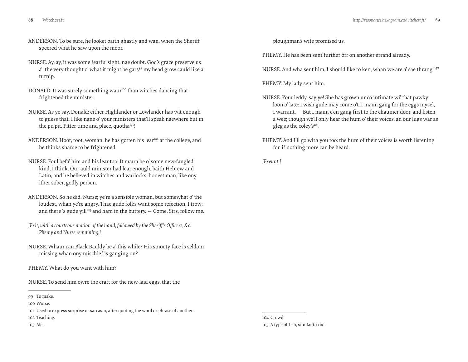- 
- ANDERSON. To be sure, he looket baith ghastly and wan, when the Sheriff speered what he saw upon the moor.
- NURSE. Ay, ay, it was some fearfu' sight, nae doubt. God's grace preserve us a'! the very thought o' what it might be gars<sup>99</sup> my head grow cauld like a turnip.
- DONALD. It was surely something waur<sup>100</sup> than witches dancing that frightened the minister.
- NURSE. As ye say, Donald: either Highlander or Lowlander has wit enough to guess that. I like nane o' your ministers that'll speak naewhere but in the pu'pit. Fitter time and place, quotha<sup>101</sup>!
- ANDERSON. Hoot, toot, woman! he has gotten his lear<sup>102</sup> at the college, and he thinks shame to be frightened.
- NURSE. Foul befa' him and his lear too! It maun be o' some new-fangled kind, I think. Our auld minister had lear enough, baith Hebrew and Latin, and he believed in witches and warlocks, honest man, like ony ither sober, godly person.
- ANDERSON. So he did, Nurse; ye're a sensible woman, but somewhat o' the loudest, whan ye're angry. Thae gude folks want some refection, I trow; and there 's gude yill<sup>103</sup> and ham in the buttery.  $-$  Come, Sirs, follow me.
- *[Exit, with a courteous motion of the hand, followed by the Sheriff's Officers, &c. Phemy and Nurse remaining.]*
- NURSE. Whaur can Black Bauldy be a' this while? His smooty face is seldom missing whan ony mischief is ganging on?
- PHEMY. What do you want with him?

NURSE. To send him owre the craft for the new-laid eggs, that the

101 Used to express surprise or sarcasm, after quoting the word or phrase of another.

103 Ale.

ploughman's wife promised us.

PHEMY. He has been sent further off on another errand already.

NURSE. And wha sent him, I should like to ken, whan we are a' sae thrang<sup>104</sup>?

PHEMY. My lady sent him.

- NURSE. Your leddy, say ye! She has grown unco intimate wi' that pawky loon o' late: I wish gude may come o't. I maun gang for the eggs mysel, I warrant. — But I maun e'en gang first to the chaumer door, and listen a wee; though we'll only hear the hum o' their voices, an our lugs war as gleg as the coley's<sup>105</sup>.
- PHEMY. And I'll go with you too: the hum of their voices is worth listening for, if nothing more can be heard.

*[Exeunt.]*

104 Crowd. 105 A type of fish, similar to cod.

<sup>99</sup> To make.

<sup>100</sup> Worse.

<sup>102</sup> Teaching.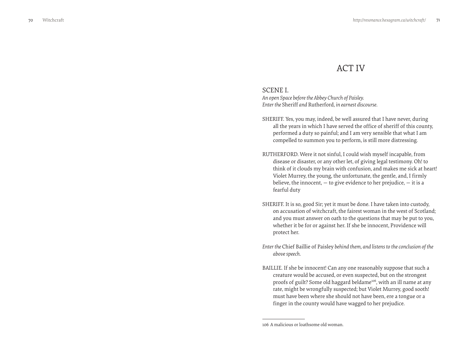# ACT IV

# <span id="page-35-0"></span>SCENE I.

*An open Space before the Abbey Church of Paisley. Enter the* Sheriff *and* Rutherford*, in earnest discourse.*

- SHERIFF. Yes, you may, indeed, be well assured that I have never, during all the years in which I have served the office of sheriff of this county, performed a duty so painful; and I am very sensible that what I am compelled to summon you to perform, is still more distressing.
- RUTHERFORD. Were it not sinful, I could wish myself incapable, from disease or disaster, or any other let, of giving legal testimony. Oh! to think of it clouds my brain with confusion, and makes me sick at heart! Violet Murrey, the young, the unfortunate, the gentle, and, I firmly believe, the innocent,  $-$  to give evidence to her prejudice,  $-$  it is a fearful duty
- SHERIFF. It is so, good Sir; yet it must be done. I have taken into custody, on accusation of witchcraft, the fairest woman in the west of Scotland; and you must answer on oath to the questions that may be put to you, whether it be for or against her. If she be innocent, Providence will protect her.
- *Enter the* Chief Baillie of Paisley *behind them, and listens to the conclusion of the above speech.*
- BAILLIE. If she be innocent! Can any one reasonably suppose that such a creature would be accused, or even suspected, but on the strongest proofs of guilt? Some old haggard beldame<sup>106</sup>, with an ill name at any rate, might be wrongfully suspected; but Violet Murrey, good sooth! must have been where she should not have been, ere a tongue or a finger in the county would have wagged to her prejudice.

<sup>106</sup> A malicious or loathsome old woman.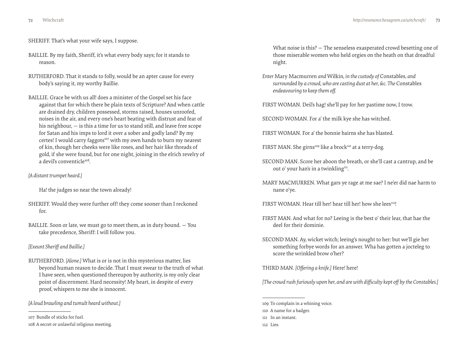SHERIFF. That's what your wife says, I suppose.

- BAILLIE. By my faith, Sheriff, it's what every body says; for it stands to reason.
- RUTHERFORD. That it stands to folly, would be an apter cause for every body's saying it, my worthy Baillie.
- BAILLIE. Grace be with us all! does a minister of the Gospel set his face against that for which there be plain texts of Scripture? And when cattle are drained dry, children possessed, storms raised, houses unroofed, noises in the air, and every one's heart beating with distrust and fear of his neighbour, — is this a time for us to stand still, and leave free scope for Satan and his imps to lord it over a sober and godly land? By my certes! I would carry faggots<sup>107</sup> with my own hands to burn my nearest of kin, though her cheeks were like roses, and her hair like threads of gold, if she were found, but for one night, joining in the elrich revelry of a devil's conventicle<sup>108</sup>

### *[A distant trumpet heard.]*

Ha! the judges so near the town already!

- SHERIFF. Would they were further off! they come sooner than I reckoned for.
- BAILLIE. Soon or late, we must go to meet them, as in duty bound. You take precedence, Sheriff: I will follow you.

# *[Exeunt Sheriff and Baillie.]*

RUTHERFORD. *[Alone.]* What is or is not in this mysterious matter, lies beyond human reason to decide. That I must swear to the truth of what I have seen, when questioned thereupon by authority, is my only clear point of discernment. Hard necessity! My heart, in despite of every proof, whispers to me she is innocent.

*[A loud brawling and tumult heard without.]*

107 Bundle of sticks for fuel.

What noise is this? — The senseless exasperated crowd besetting one of those miserable women who held orgies on the heath on that dreadful night.

- *Enter* Mary Macmurren *and* Wilkin*, in the custody of* Constables*, and surrounded by a crowd, who are casting dust at her, &c. The* Constables *endeavouring to keep them off.*
- FIRST WOMAN. Deil's hag! she'll pay for her pastime now, I trow.

SECOND WOMAN. For a' the milk kye she has witched.

- FIRST WOMAN. For a' the bonnie bairns she has blasted.
- FIRST MAN. She girns<sup>109</sup> like a brock<sup>110</sup> at a terry-dog.
- SECOND MAN. Score her aboon the breath, or she'll cast a cantrup, and be out o' your han's in a twinkling<sup>111</sup>.
- MARY MACMURREN. What gars ye rage at me sae? I ne'er did nae harm to nane o'ye.
- FIRST WOMAN. Hear till her! hear till her! how she lees<sup>112</sup>!
- FIRST MAN. And what for no? Leeing is the best o' their lear, that hae the deel for their dominie.
- SECOND MAN. Ay, wicket witch; leeing's nought to her: but we'll gie her something forbye words for an answer. Wha has gotten a jocteleg to score the wrinkled brow o'her?

THIRD MAN. *[Offering a knife.]* Here! here!

*[The crowd rush furiously upon her, and are with difficulty kept off by the Constables.]*

109 To complain in a whining voice. 110 A name for a badger. 111 In an instant.

<sup>108</sup> A secret or unlawful religious meeting.

<sup>112</sup> Lies.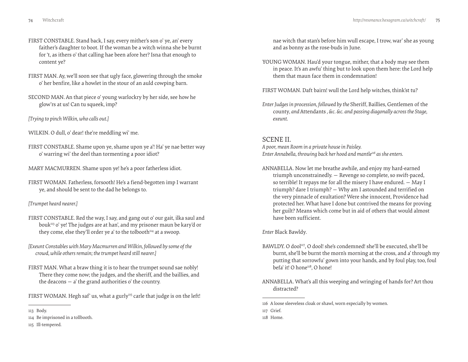- FIRST CONSTABLE. Stand back, I say, every mither's son o' ye, an' every faither's daughter to boot. If the woman be a witch winna she be burnt for 't, as ithers o' that calling hae been afore her? Isna that enough to content ye?
- FIRST MAN. Ay, we'll soon see that ugly face, glowering through the smoke o' her benfire, like a howlet in the stour of an auld cowping barn.
- SECOND MAN. An that piece o' young warlockry by her side, see how he glow'rs at us! Can tu squeek, imp?
- *[Trying to pinch Wilkin, who calls out.]*
- WILKIN. O dull, o' dear! the're meddling wi' me.
- FIRST CONSTABLE. Shame upon ye, shame upon ye a'! Ha' ye nae better way o' warring wi' the deel than tormenting a poor idiot?
- MARY MACMURREN. Shame upon ye! he's a poor fatherless idiot.
- FIRST WOMAN. Fatherless, forsooth! He's a fiend-begotten imp I warrant ye, and should be sent to the dad he belongs to.

# *[Trumpet heard nearer.]*

- FIRST CONSTABLE. Red the way, I say, and gang out o' our gait, ilka saul and bouk<sup>113</sup> o' ye! The judges are at han', and my prisoner maun be kary'd or they come, else they'll order ye a' to the tolbooth $114$  at a swoop.
- *[Exeunt Constables with Mary Macmurren and Wilkin, followed by some of the crowd, while others remain; the trumpet heard still nearer.]*
- FIRST MAN. What a braw thing it is to hear the trumpet sound sae nobly! There they come now; the judges, and the sheriff, and the baillies, and the deacons  $-$  a' the grand authorities o' the country.
- FIRST WOMAN. Hegh saf' us, what a gurly<sup>115</sup> carle that judge is on the left!

nae witch that stan's before him wull escape, I trow, war' she as young and as bonny as the rose-buds in June.

- YOUNG WOMAN. Hau'd your tongue, mither, that a body may see them in peace. It's an awfu' thing but to look upon them here: the Lord help them that maun face them in condemnation!
- FIRST WOMAN. Daft bairn! wull the Lord help witches, think'st tu?
- *Enter Judges in procession, followed by the* Sheriff*,* Baillies*,* Gentlemen of the county*, and* Attendants *, &c. &c. and passing diagonally across the Stage, exeunt.*

# SCENE II.

*A poor, mean Room in a private house in Paisley. Enter Annabella, throwing back her hood and mantle116 as she enters.*

ANNABELLA. Now let me breathe awhile, and enjoy my hard-earned triumph unconstrainedly. — Revenge so complete, so swift-paced, so terrible! It repays me for all the misery I have endured. — May I triumph? dare I triumph? — Why am I astounded and terrified on the very pinnacle of exultation? Were she innocent, Providence had protected her. What have I done but contrived the means for proving her guilt? Means which come but in aid of others that would almost have been sufficient.

*Enter* Black Bawldy*.*

- BAWLDY. O dool<sup>117</sup>, O dool! she's condemned! she'll be executed, she'll be burnt, she'll be burnt the morn's morning at the cross, and a' through my putting that sorrowfu' gown into your hands, and by foul play, too, foul befa' it! O hone<sup>118</sup>, O hone!
- ANNABELLA. What's all this weeping and wringing of hands for? Art thou distracted?

<sup>113</sup> Body.

<sup>114</sup> Be imprisoned in a tollbooth.

<sup>115</sup> Ill-tempered.

<sup>116</sup> A loose sleeveless cloak or shawl, worn especially by women.

<sup>117</sup> Grief.

<sup>118</sup> Home.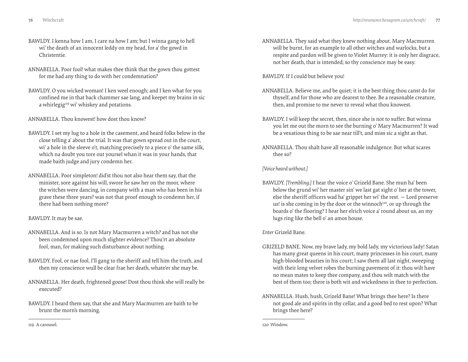- 
- BAWLDY. I kenna how I am, I care na how I am; but I winna gang to hell wi' the death of an innocent leddy on my head, for a' the gowd in Christentie.
- ANNABELLA. Poor fool! what makes thee think that the gown thou gottest for me had any thing to do with her condemnation?
- BAWLDY. O you wicked woman! I ken weel enough; and I ken what for you confined me in that back chammer sae lang, and keepet my brains in sic a whirlegig<sup>119</sup> wi' whiskey and potations.

ANNABELLA. Thou knowest! how dost thou know?

- BAWLDY. I set my lug to a hole in the casement, and heard folks below in the close telling a' about the trial. It was that gown spread out in the court, wi' a hole in the sleeve o't, matching precisely to a piece o' the same silk, which na doubt you tore out yoursel whan it was in your hands, that made baith judge and jury condemn her.
- ANNABELLA. Poor simpleton! did'st thou not also hear them say, that the minister, sore against his will, swore he saw her on the moor, where the witches were dancing, in company with a man who has been in his grave these three years? was not that proof enough to condemn her, if there had been nothing more?

# BAWLDY. It may be sae.

- ANNABELLA. And is so. Is not Mary Macmurren a witch? and has not she been condemned upon much slighter evidence? Thou'rt an absolute fool, man, for making such disturbance about nothing.
- BAWLDY. Fool, or nae fool, I'll gang to the sheriff and tell him the truth, and then my conscience wull be clear frae her death, whate'er she may be.
- ANNABELLA. Her death, frightened goose! Dost thou think she will really be executed?
- BAWLDY. I heard them say, that she and Mary Macmurren are baith to be brunt the morn's morning.

ANNABELLA. They said what they knew nothing about. Mary Macmurren will be burnt, for an example to all other witches and warlocks, but a respite and pardon will be given to Violet Murrey: it is only her disgrace, not her death, that is intended; so thy conscience may be easy.

BAWLDY. If I could but believe you!

- ANNABELLA. Believe me, and be quiet; it is the best thing thou canst do for thyself, and for those who are dearest to thee. Be a reasonable creature, then, and promise to me never to reveal what thou knowest.
- BAWLDY. I will keep the secret, then, since she is not to suffer. But winna you let me out the morn to see the burning o' Mary Macmurren? It wad be a vexatious thing to be sae near till't, and miss sic a sight as that.
- ANNABELLA. Thou shalt have all reasonable indulgence. But what scares thee so?

*[Voice heard without.]*

BAWLDY. *[Trembling.]* I hear the voice o' Grizeld Bane. She mun ha' been below the grund wi' her master sin' we last gat sight o' her at the tower, else the sheriff officers wad ha' grippet her wi' the rest. — Lord preserve us! is she coming in by the door or the winnoch<sup>120</sup>, or up through the boards o' the flooring? I hear her elrich voice a' round about us, an my lugs ring like the bell o' an amos house.

*Enter* Grizeld Bane*.*

- GRIZELD BANE. Now, my brave lady, my bold lady, my victorious lady! Satan has many great queens in his court, many princesses in his court, many high-blooded beauties in his court; I saw them all last night, sweeping with their long velvet robes the burning pavement of it: thou wilt have no mean mates to keep thee company, and thou wilt match with the best of them too; there is both wit and wickedness in thee to perfection.
- ANNABELLA. Hush, hush, Grizeld Bane! What brings thee here? Is there not good ale and spirits in thy cellar, and a good bed to rest upon? What brings thee here?

120 Window.

119 A carousel.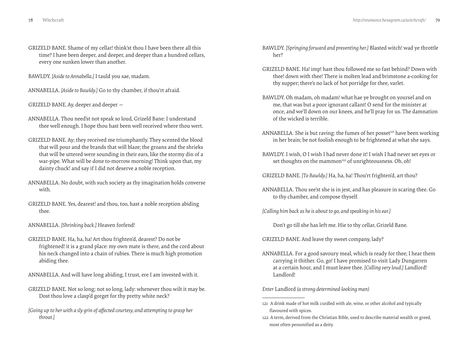GRIZELD BANE. Shame of my cellar! think'st thou I have been there all this time? I have been deeper, and deeper, and deeper than a hundred cellars, every one sunken lower than another.

BAWLDY. *[Aside to Annabella.]* I tauld you sae, madam.

ANNABELLA. *[Aside to Bawldy.]* Go to thy chamber, if thou'rt afraid.

GRIZELD BANE. Ay, deeper and deeper —

ANNABELLA. Thou need'st not speak so loud, Grizeld Bane: I understand thee well enough. I hope thou hast been well received where thou wert.

- GRIZELD BANE. Ay; they received me triumphantly. They scented the blood that will pour and the brands that will blaze; the groans and the shrieks that will be uttered were sounding in their ears, like the stormy din of a war-pipe. What will be done to-morrow morning! Think upon that, my dainty chuck! and say if I did not deserve a noble reception.
- ANNABELLA. No doubt, with such society as thy imagination holds converse with.
- GRIZELD BANE. Yes, dearest! and thou, too, hast a noble reception abiding thee.
- ANNABELLA. *[Shrinking back.]* Heaven forfend!
- GRIZELD BANE. Ha, ha, ha! Art thou frighten'd, dearest? Do not be frightened! it is a grand place: my own mate is there, and the cord about his neck changed into a chain of rubies. There is much high promotion abiding thee.

ANNABELLA. And will have long abiding, I trust, ere I am invested with it.

- GRIZELD BANE. Not so long; not so long, lady: whenever thou wilt it may be. Dost thou love a clasp'd gorget for thy pretty white neck?
- *[Going up to her with a sly grin of affected courtesy, and attempting to grasp her throat.]*
- BAWLDY. *[Springing forward and preventing her.]* Blasted witch! wad ye throttle her?
- GRIZELD BANE. Ha! imp! hast thou followed me so fast behind? Down with thee! down with thee! There is molten lead and brimstone a-cooking for thy supper; there's no lack of hot porridge for thee, varlet.
- BAWLDY. Oh madam, oh madam! what hae ye brought on yoursel and on me, that was but a poor ignorant callant! O send for the minister at once, and we'll down on our knees, and he'll pray for us. The damnation of the wicked is terrible.
- ANNABELLA. She is but raving: the fumes of her posset<sup>121</sup> have been working in her brain; be not foolish enough to be frightened at what she says.
- BAWLDY. I wish, O I wish I had never done it! I wish I had never set eyes or set thoughts on the mammon<sup>122</sup> of unrighteousness. Oh, oh!

GRIZELD BANE. *[To Bawldy.]* Ha, ha, ha! Thou'rt frighten'd, art thou?

ANNABELLA. Thou see'st she is in jest, and has pleasure in scaring thee. Go to thy chamber, and compose thyself.

*[Calling him back as he is about to go, and speaking in his ear.]*

Don't go till she has left me. Hie to thy cellar, Grizeld Bane.

GRIZELD BANE. And leave thy sweet company, lady?

ANNABELLA. For a good savoury meal, which is ready for thee; I hear them carrying it thither. Go, go! I have promised to visit Lady Dungarren at a certain hour, and I must leave thee. *[Calling very loud.]* Landlord! Landlord!

*Enter* Landlord *(a strong determined-looking man)*

<sup>121</sup> A drink made of hot milk curdled with ale, wine, or other alcohol and typically flavoured with spices.

<sup>122</sup> A term, derived from the Christian Bible, used to describe material wealth or greed, most often personified as a deity.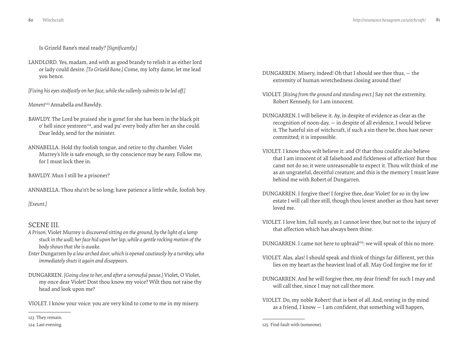Is Grizeld Bane's meal ready? *[Significantly.]*

LANDLORD. Yes, madam, and with as good brandy to relish it as either lord or lady could desire. *[To Grizeld Bane.]* Come, my lofty dame, let me lead you hence.

*[Fixing his eyes stedfastly on her face, while she sullenly submits to be led off.]*

*Manent*123 Annabella *and* Bawldy*.*

- BAWLDY. The Lord be praised she is gone! for she has been in the black pit o' hell since yestreen<sup>124</sup>, and wad pu' every body after her an she could. Dear leddy, send for the minister.
- ANNABELLA. Hold thy foolish tongue, and retire to thy chamber. Violet Murrey's life is safe enough, so thy conscience may be easy. Follow me, for I must lock thee in.

BAWLDY. Mun I still be a prisoner?

ANNABELLA. Thou sha'n't be so long; have patience a little while, foolish boy.

*[Exeunt.]*

# SCENE III.

- *A Prison.* Violet Murrey *is discovered sitting on the ground, by the light of a lamp stuck in the wall; her face hid upon her lap, while a gentle rocking motion of the body shows that she is awake.*
- *Enter* Dungarren *by a low arched door, which is opened cautiously by a turnkey, who immediately shuts it again and disappears.*
- DUNGARREN. *[Going close to her, and after a sorrowful pause.]* Violet, O Violet, my once dear Violet! Dost thou know my voice? Wilt thou not raise thy head and look upon me?

VIOLET. I know your voice: you are very kind to come to me in my misery.

- DUNGARREN. Misery, indeed! Oh that I should see thee thus, the extremity of human wretchedness closing around thee!
- VIOLET. *[Rising from the ground and standing erect.]* Say not the extremity, Robert Kennedy, for I am innocent.
- DUNGARREN. I will believe it. Ay, in despite of evidence as clear as the recognition of noon-day, — in despite of all evidence, I would believe it. The hateful sin of witchcraft, if such a sin there be, thou hast never committed; it is impossible.
- VIOLET. I know thou wilt believe it: and O! that thou could'st also believe that I am innocent of all falsehood and fickleness of affection! But thou canst not do so; it were unreasonable to expect it. Thou wilt think of me as an ungrateful, deceitful creature; and this is the memory I must leave behind me with Robert of Dungarren.
- DUNGARREN. I forgive thee! I forgive thee, dear Violet! for so in thy low estate I will call thee still, though thou lovest another as thou hast never loved me.
- VIOLET. I love him, full surely, as I cannot love thee, but not to the injury of that affection which has always been thine.
- DUNGARREN. I came not here to upbraid<sup>125</sup>: we will speak of this no more.
- VIOLET. Alas, alas! I should speak and think of things far different, yet this lies on my heart as the heaviest load of all. May God forgive me for it!
- DUNGARREN. And he will forgive thee, my dear friend! for such I may and will call thee, since I may not call thee more.
- VIOLET. Do, my noble Robert! that is best of all. And, resting in thy mind as a friend, I know — I am confident, that something will happen,

<sup>123</sup> They remain.

<sup>124</sup> Last evening.

<sup>125</sup> Find fault with (someone).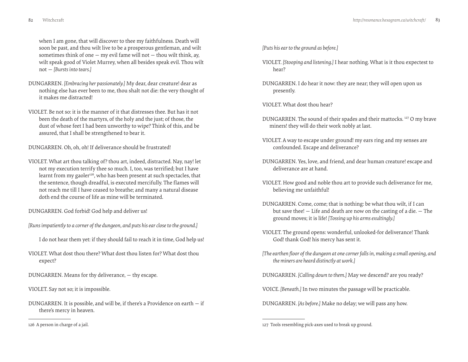when I am gone, that will discover to thee my faithfulness. Death will soon be past, and thou wilt live to be a prosperous gentleman, and wilt sometimes think of one  $-$  my evil fame will not  $-$  thou wilt think, ay, wilt speak good of Violet Murrey, when all besides speak evil. Thou wilt not — *[Bursts into tears.]*

- DUNGARREN. *[Embracing her passionately.]* My dear, dear creature! dear as nothing else has ever been to me, thou shalt not die: the very thought of it makes me distracted!
- VIOLET. Be not so: it is the manner of it that distresses thee. But has it not been the death of the martyrs, of the holy and the just; of those, the dust of whose feet I had been unworthy to wipe? Think of this, and be assured, that I shall be strengthened to bear it.

DUNGARREN. Oh, oh, oh! If deliverance should be frustrated!

VIOLET. What art thou talking of? thou art, indeed, distracted. Nay, nay! let not my execution terrify thee so much. I, too, was terrified; but I have learnt from my gaoler<sup>126</sup>, who has been present at such spectacles, that the sentence, though dreadful, is executed mercifully. The flames will not reach me till I have ceased to breathe; and many a natural disease doth end the course of life as mine will be terminated.

DUNGARREN. God forbid! God help and deliver us!

*[Runs impatiently to a corner of the dungeon, and puts his ear close to the ground.]*

I do not hear them yet: if they should fail to reach it in time, God help us!

VIOLET. What dost thou there? What dost thou listen for? What dost thou expect?

DUNGARREN. Means for thy deliverance, — thy escape.

VIOLET. Say not so; it is impossible.

DUNGARREN. It is possible, and will be, if there's a Providence on earth  $-$  if there's mercy in heaven.

126 A person in charge of a jail.

*[Puts his ear to the ground as before.]*

- VIOLET. *[Stooping and listening.]* I hear nothing. What is it thou expectest to hear?
- DUNGARREN. I do hear it now: they are near; they will open upon us presently.

VIOLET. What dost thou hear?

- DUNGARREN. The sound of their spades and their mattocks. 127 O my brave miners! they will do their work nobly at last.
- VIOLET. A way to escape under ground! my ears ring and my senses are confounded. Escape and deliverance?
- DUNGARREN. Yes, love, and friend, and dear human creature! escape and deliverance are at hand.
- VIOLET. How good and noble thou art to provide such deliverance for me, believing me unfaithful!
- DUNGARREN. Come, come; that is nothing: be what thou wilt, if I can but save thee! — Life and death are now on the casting of a die. — The ground moves; it is life! *[Tossing up his arms exultingly.]*
- VIOLET. The ground opens: wonderful, unlooked-for deliverance! Thank God! thank God! his mercy has sent it.
- *[The earthen floor of the dungeon at one corner falls in, making a small opening, and the miners are heard distinctly at work.]*

DUNGARREN. *[Calling down to them.]* May we descend? are you ready?

VOICE. *[Beneath.]* In two minutes the passage will be practicable.

DUNGARREN. *[As before.]* Make no delay; we will pass any how.

<sup>127</sup> Tools resembling pick-axes used to break up ground.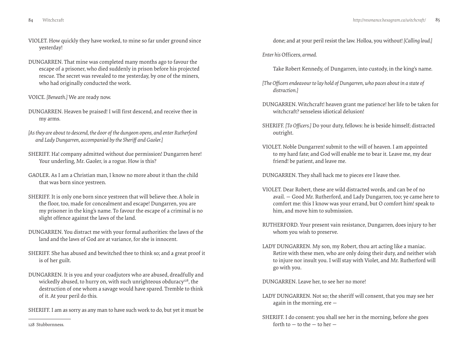- VIOLET. How quickly they have worked, to mine so far under ground since yesterday!
- DUNGARREN. That mine was completed many months ago to favour the escape of a prisoner, who died suddenly in prison before his projected rescue. The secret was revealed to me yesterday, by one of the miners, who had originally conducted the work.
- VOICE. *[Beneath.]* We are ready now.
- DUNGARREN. Heaven be praised! I will first descend, and receive thee in my arms.
- *[As they are about to descend, the door of the dungeon opens, and enter Rutherford and Lady Dungarren, accompanied by the Sheriff and Gaoler.]*
- SHERIFF. Ha! company admitted without due permission! Dungarren here! Your underling, Mr. Gaoler, is a rogue. How is this?
- GAOLER. As I am a Christian man, I know no more about it than the child that was born since yestreen.
- SHERIFF. It is only one born since yestreen that will believe thee. A hole in the floor, too, made for concealment and escape! Dungarren, you are my prisoner in the king's name. To favour the escape of a criminal is no slight offence against the laws of the land.
- DUNGARREN. You distract me with your formal authorities: the laws of the land and the laws of God are at variance, for she is innocent.
- SHERIFF. She has abused and bewitched thee to think so; and a great proof it is of her guilt.
- DUNGARREN. It is you and your coadjutors who are abused, dreadfully and wickedly abused, to hurry on, with such unrighteous obduracy<sup>128</sup>, the destruction of one whom a savage would have spared. Tremble to think of it. At your peril do this.
- SHERIFF. I am as sorry as any man to have such work to do, but yet it must be

done; and at your peril resist the law. Holloa, you without! *[Calling loud.]*

- *Enter his* Officers*, armed.*
	- Take Robert Kennedy, of Dungarren, into custody, in the king's name.
- *[The Officers endeavour to lay hold of Dungarren, who paces about in a state of distraction.]*
- DUNGARREN. Witchcraft! heaven grant me patience! her life to be taken for witchcraft? senseless idiotical delusion!
- SHERIFF. *[To Officers.]* Do your duty, fellows: he is beside himself; distracted outright.
- VIOLET. Noble Dungarren! submit to the will of heaven. I am appointed to my hard fate; and God will enable me to bear it. Leave me, my dear friend! be patient, and leave me.

DUNGARREN. They shall hack me to pieces ere I leave thee.

- VIOLET. Dear Robert, these are wild distracted words, and can be of no avail. — Good Mr. Rutherford, and Lady Dungarren, too; ye came here to comfort me: this I know was your errand, but O comfort him! speak to him, and move him to submission.
- RUTHERFORD. Your present vain resistance, Dungarren, does injury to her whom you wish to preserve.
- LADY DUNGARREN. My son, my Robert, thou art acting like a maniac. Retire with these men, who are only doing their duty, and neither wish to injure nor insult you. I will stay with Violet, and Mr. Rutherford will go with you.

DUNGARREN. Leave her, to see her no more!

- LADY DUNGARREN. Not so; the sheriff will consent, that you may see her again in the morning, ere —
- SHERIFF. I do consent: you shall see her in the morning, before she goes forth to  $-$  to the  $-$  to her  $-$

128 Stubbornness.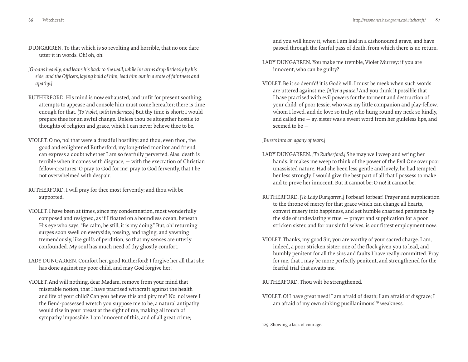- DUNGARREN. To that which is so revolting and horrible, that no one dare utter it in words. Oh! oh, oh!
- *[Groans heavily, and leans his back to the wall, while his arms drop listlessly by his side, and the Officers, laying hold of him, lead him out in a state of faintness and apathy.]*
- RUTHERFORD. His mind is now exhausted, and unfit for present soothing; attempts to appease and console him must come hereafter; there is time enough for that. *[To Violet, with tenderness.]* But thy time is short; I would prepare thee for an awful change. Unless thou be altogether hostile to thoughts of religion and grace, which I can never believe thee to be.
- VIOLET. O no, no! that were a dreadful hostility; and thou, even thou, the good and enlightened Rutherford, my long-tried monitor and friend, can express a doubt whether I am so fearfully perverted. Alas! death is terrible when it comes with disgrace, — with the execration of Christian fellow-creatures! O pray to God for me! pray to God fervently, that I be not overwhelmed with despair.
- RUTHERFORD. I will pray for thee most fervently; and thou wilt be supported.
- VIOLET. I have been at times, since my condemnation, most wonderfully composed and resigned, as if I floated on a boundless ocean, beneath His eye who says, "Be calm, be still; it is my doing." But, oh! returning surges soon swell on everyside, tossing, and raging, and yawning tremendously, like gulfs of perdition, so that my senses are utterly confounded. My soul has much need of thy ghostly comfort.
- LADY DUNGARREN. Comfort her, good Rutherford! I forgive her all that she has done against my poor child, and may God forgive her!
- VIOLET. And will nothing, dear Madam, remove from your mind that miserable notion, that I have practised withcraft against the health and life of your child? Can you believe this and pity me? No, no! were I the fiend-possessed wretch you suppose me to be, a natural antipathy would rise in your breast at the sight of me, making all touch of sympathy impossible. I am innocent of this, and of all great crime;

and you will know it, when I am laid in a dishonoured grave, and have passed through the fearful pass of death, from which there is no return.

- LADY DUNGARREN. You make me tremble, Violet Murrey: if you are innocent, who can be guilty?
- VIOLET. Be it so deem'd! it is God's will: I must be meek when such words are uttered against me. *[After a pause.]* And you think it possible that I have practised with evil powers for the torment and destruction of your child; of poor Jessie, who was my little companion and play-fellow, whom I loved, and do love so truly; who hung round my neck so kindly, and called me — ay, sister was a sweet word from her guileless lips, and seemed to be —

*[Bursts into an agony of tears.]*

- LADY DUNGARREN. *[To Rutherford.]* She may well weep and wring her hands: it makes me weep to think of the power of the Evil One over poor unassisted nature. Had she been less gentle and lovely, he had tempted her less strongly. I would give the best part of all that I possess to make and to prove her innocent. But it cannot be; O no! it cannot be!
- RUTHERFORD. *[To Lady Dungarren.]* Forbear! forbear! Prayer and supplication to the throne of mercy for that grace which can change all hearts, convert misery into happiness, and set humble chastised penitence by the side of undeviating virtue, — prayer and supplication for a poor stricken sister, and for our sinful selves, is our fittest employment now.
- VIOLET. Thanks, my good Sir; you are worthy of your sacred charge. I am, indeed, a poor stricken sister; one of the flock given you to lead, and humbly penitent for all the sins and faults I have really committed. Pray for me, that I may be more perfectly penitent, and strengthened for the fearful trial that awaits me.

RUTHERFORD. Thou wilt be strengthened.

VIOLET. O! I have great need! I am afraid of death; I am afraid of disgrace; I am afraid of my own sinking pusillanimous<sup>129</sup> weakness.

<sup>129</sup> Showing a lack of courage.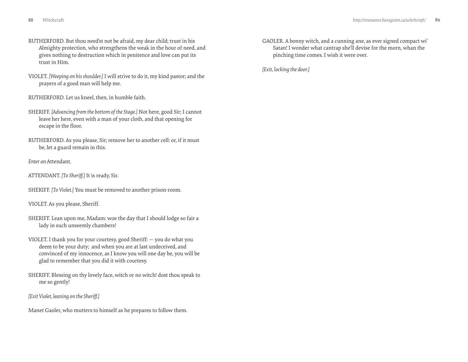- RUTHERFORD. But thou need'st not be afraid, my dear child; trust in his Almighty protection, who strengthens the weak in the hour of need, and gives nothing to destruction which in penitence and love can put its trust in Him.
- VIOLET. *[Weeping on his shoulder.]* I will strive to do it, my kind pastor; and the prayers of a good man will help me.
- RUTHERFORD. Let us kneel, then, in humble faith.
- SHERIFF. *[Advancing from the bottom of the Stage.]* Not here, good Sir; I cannot leave her here, even with a man of your cloth, and that opening for escape in the floor.
- RUTHERFORD. As you please, Sir; remove her to another cell: or, if it must be, let a guard remain in this.
- *Enter an* Attendant.
- ATTENDANT. *[To Sheriff.]* It is ready, Sir.
- SHERIFF. *[To Violet.]* You must be removed to another prison-room.
- VIOLET. As you please, Sheriff.
- SHERIFF. Lean upon me, Madam: woe the day that I should lodge so fair a lady in such unseemly chambers!
- VIOLET. I thank you for your courtesy, good Sheriff: you do what you deem to be your duty; and when you are at last undeceived, and convinced of my innocence, as I know you will one day be, you will be glad to remember that you did it with courtesy.
- SHERIFF. Blessing on thy lovely face, witch or no witch! dost thou speak to me so gently!
- *[Exit Violet, leaning on the Sheriff.]*
- Manet Gaoler, who mutters to himself as he prepares to follow them.

GAOLER. A bonny witch, and a cunning ane, as ever signed compact wi' Satan! I wonder what cantrap she'll devise for the morn, whan the pinching time comes. I wish it were over.

*[Exit, locking the door.]*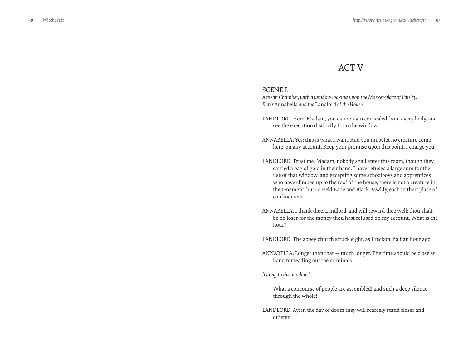# ACT V

# <span id="page-45-0"></span>SCENE I.

*A mean Chamber, with a window looking upon the Market-place of Paisley. Enter* Annabella *and the* Landlord *of the House.*

- LANDLORD. Here, Madam, you can remain concealed from every body, and see the execution distinctly from the window.
- ANNABELLA. Yes; this is what I want. And you must let no creature come here, on any account. Keep your promise upon this point, I charge you.
- LANDLORD. Trust me, Madam, nobody shall enter this room, though they carried a bag of gold in their hand. I have refused a large sum for the use of that window; and excepting some schoolboys and apprentices who have climbed up to the roof of the house, there is not a creature in the tenement, but Grizeld Bane and Black Bawldy, each in their place of confinement.
- ANNABELLA. I thank thee, Landlord, and will reward thee well: thou shalt be no loser for the money thou hast refused on my account. What is the hour?

LANDLORD. The abbey church struck eight, as I reckon, half an hour ago.

ANNABELLA. Longer than that — much longer. The time should be close at hand for leading out the criminals.

#### *[Going to the window.]*

What a concourse of people are assembled! and such a deep silence through the whole!

LANDLORD. Ay; in the day of doom they will scarcely stand closer and quieter.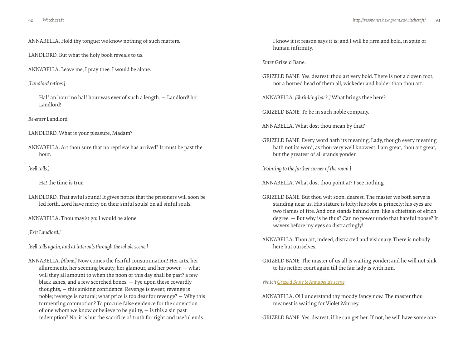<span id="page-46-0"></span>ANNABELLA. Hold thy tongue: we know nothing of such matters.

LANDLORD. But what the holy book reveals to us.

ANNABELLA. Leave me, I pray thee. I would be alone.

*[Landlord retires.]*

Half an hour! no half hour was ever of such a length. — Landlord! ho! Landlord!

*Re-enter* Landlord*.*

LANDLORD. What is your pleasure, Madam?

ANNABELLA. Art thou sure that no reprieve has arrived? It must be past the hour.

# *[Bell tolls.]*

Ha! the time is true.

LANDLORD. That awful sound! It gives notice that the prisoners will soon be led forth. Lord have mercy on their sinful souls! on all sinful souls!

ANNABELLA. Thou may'st go: I would be alone.

*[Exit Landlord.]*

*[Bell tolls again, and at intervals through the whole scene.]*

ANNABELLA. *[Alone.]* Now comes the fearful consummation! Her arts, her allurements, her seeming beauty, her glamour, and her power, — what will they all amount to when the noon of this day shall be past? a few black ashes, and a few scorched bones. — Fye upon these cowardly thoughts, — this sinking confidence! Revenge is sweet; revenge is noble; revenge is natural; what price is too dear for revenge? — Why this tormenting commotion? To procure false evidence for the conviction of one whom we know or believe to be guilty, — is this a sin past redemption? No; it is but the sacrifice of truth for right and useful ends.

I know it is; reason says it is; and I will be firm and bold, in spite of human infirmity.

*Enter* Grizeld Bane*.*

GRIZELD BANE. Yes, dearest; thou art very bold. There is not a cloven foot, nor a horned head of them all, wickeder and bolder than thou art.

ANNABELLA. *[Shrinking back.]* What brings thee here?

GRIZELD BANE. To be in such noble company.

ANNABELLA. What dost thou mean by that?

GRIZELD BANE. Every word hath its meaning, Lady, though every meaning hath not its word, as thou very well knowest. I am great; thou art great; but the greatest of all stands yonder.

*[Pointing to the farther corner of the room.]*

ANNABELLA. What dost thou point at? I see nothing.

- GRIZELD BANE. But thou wilt soon, dearest. The master we both serve is standing near us. His stature is lofty; his robe is princely; his eyes are two flames of fire. And one stands behind him, like a chieftain of elrich degree. — But why is he thus? Can no power undo that hateful noose? It wavers before my eyes so distractingly!
- ANNABELLA. Thou art, indeed, distracted and visionary. There is nobody here but ourselves.
- GRIZELD BANE. The master of us all is waiting yonder; and he will not sink to his nether court again till the fair lady is with him.

*Watch [Grizeld Bane & Annabella's scene](http://vimeo.com/groups/134592/videos/41316822).* 

ANNABELLA. O! I understand thy moody fancy now. The master thou meanest is waiting for Violet Murrey.

GRIZELD BANE. Yes, dearest, if he can get her. If not, he will have some one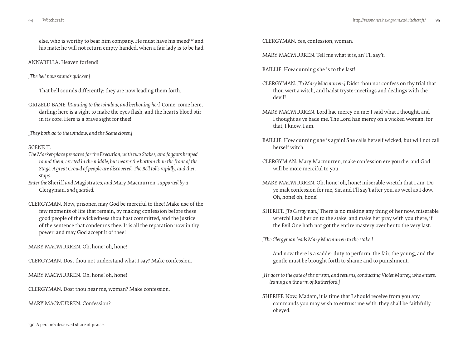else, who is worthy to bear him company. He must have his meed<sup>130</sup> and his mate: he will not return empty-handed, when a fair lady is to be had.

ANNABELLA. Heaven forfend!

*[The bell now sounds quicker.]*

That bell sounds differently: they are now leading them forth.

GRIZELD BANE. *[Running to the window, and beckoning her.*] Come, come here, darling: here is a sight to make the eyes flash, and the heart's blood stir in its core. Here is a brave sight for thee!

*[They both go to the window, and the Scene closes.]*

#### SCENE II.

- *The Market-place prepared for the Execution, with two Stakes, and faggots heaped round them, erected in the middle, but nearer the bottom than the front of the Stage. A great Crowd of people are discovered. The Bell tolls rapidly, and then stops.*
- *Enter the* Sheriff *and* Magistrates*, and* Mary Macmurren*, supported by a*  Clergyman*, and guarded.*
- CLERGYMAN. Now, prisoner, may God be merciful to thee! Make use of the few moments of life that remain, by making confession before these good people of the wickedness thou hast committed, and the justice of the sentence that condemns thee. It is all the reparation now in thy power; and may God accept it of thee!

MARY MACMURREN. Oh, hone! oh, hone!

CLERGYMAN. Dost thou not understand what I say? Make confession.

MARY MACMURREN. Oh, hone! oh, hone!

CLERGYMAN. Dost thou hear me, woman? Make confession.

MARY MACMURREN. Confession?

CLERGYMAN. Yes, confession, woman.

MARY MACMURREN. Tell me what it is, an' I'll say't.

BAILLIE. How cunning she is to the last!

- CLERGYMAN. *[To Mary Macmurren.]* Didst thou not confess on thy trial that thou wert a witch, and hadst tryste-meetings and dealings with the devil?
- MARY MACMURREN. Lord hae mercy on me: I said what I thought, and I thought as ye bade me. The Lord hae mercy on a wicked woman! for that, I know, I am.
- BAILLIE. How cunning she is again! She calls herself wicked, but will not call herself witch.
- CLERGYM AN. Mary Macmurren, make confession ere you die, and God will be more merciful to you.
- MARY MACMURREN. Oh, hone! oh, hone! miserable wretch that I am! Do ye mak confession for me, Sir, and I'll say't after you, as weel as I dow. Oh, hone! oh, hone!
- SHERIFF. *[To Clergyman.]* There is no making any thing of her now, miserable wretch! Lead her on to the stake, and make her pray with you there, if the Evil One hath not got the entire mastery over her to the very last.

*[The Clergyman leads Mary Macmurren to the stake.]*

And now there is a sadder duty to perform; the fair, the young, and the gentle must be brought forth to shame and to punishment.

- *[He goes to the gate of the prison, and returns, conducting Violet Murrey, who enters, leaning on the arm of Rutherford.]*
- SHERIFF. Now, Madam, it is time that I should receive from you any commands you may wish to entrust me with: they shall be faithfully obeyed.

<sup>130</sup> A person's deserved share of praise.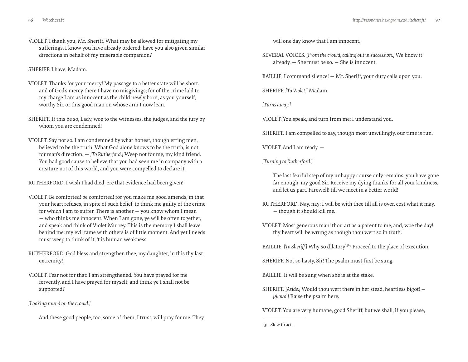VIOLET. I thank you, Mr. Sheriff. What may be allowed for mitigating my sufferings, I know you have already ordered: have you also given similar directions in behalf of my miserable companion?

SHERIFF. I have, Madam.

- VIOLET. Thanks for your mercy! My passage to a better state will be short: and of God's mercy there I have no misgivings; for of the crime laid to my charge I am as innocent as the child newly born; as you yourself, worthy Sir, or this good man on whose arm I now lean.
- SHERIFF. If this be so, Lady, woe to the witnesses, the judges, and the jury by whom you are condemned!
- VIOLET. Say not so. I am condemned by what honest, though erring men, believed to be the truth. What God alone knows to be the truth, is not for man's direction. — *[To Rutherford.]* Weep not for me, my kind friend. You had good cause to believe that you had seen me in company with a creature not of this world, and you were compelled to declare it.

RUTHERFORD. I wish I had died, ere that evidence had been given!

- VIOLET. Be comforted! be comforted! for you make me good amends, in that your heart refuses, in spite of such belief, to think me guilty of the crime for which I am to suffer. There is another — you know whom I mean — who thinks me innocent. When I am gone, ye will be often together, and speak and think of Violet Murrey. This is the memory I shall leave behind me: my evil fame with others is of little moment. And yet I needs must weep to think of it; 't is human weakness.
- RUTHERFORD. God bless and strengthen thee, my daughter, in this thy last extremity!
- VIOLET. Fear not for that: I am strengthened. You have prayed for me fervently, and I have prayed for myself; and think ye I shall not be supported?

*[Looking round on the crowd.]*

And these good people, too, some of them, I trust, will pray for me. They

will one day know that I am innocent.

SEVERAL VOICES. *[From the crowd, calling out in succession.]* We know it already. — She must be so. — She is innocent.

BAILLIE. I command silence! — Mr. Sheriff, your duty calls upon you.

SHERIFF. *[To Violet.]* Madam.

*[Turns away.]*

VIOLET. You speak, and turn from me: I understand you.

SHERIFF. I am compelled to say, though most unwillingly, our time is run.

VIOLET. And I am ready. —

*[Turning to Rutherford.]*

The last fearful step of my unhappy course only remains: you have gone far enough, my good Sir. Receive my dying thanks for all your kindness, and let us part. Farewell! till we meet in a better world!

- RUTHERFORD. Nay, nay; I will be with thee till all is over, cost what it may, — though it should kill me.
- VIOLET. Most generous man! thou art as a parent to me, and, woe the day! thy heart will be wrung as though thou wert so in truth.

BAILLIE. *[To Sheriff.]* Why so dilatory<sup>131</sup>? Proceed to the place of execution.

SHERIFF. Not so hasty, Sir! The psalm must first be sung.

BAILLIE. It will be sung when she is at the stake.

SHERIFF. *[Aside.]* Would thou wert there in her stead, heartless bigot! — *[Aloud.]* Raise the psalm here.

VIOLET. You are very humane, good Sheriff, but we shall, if you please,

131 Slow to act.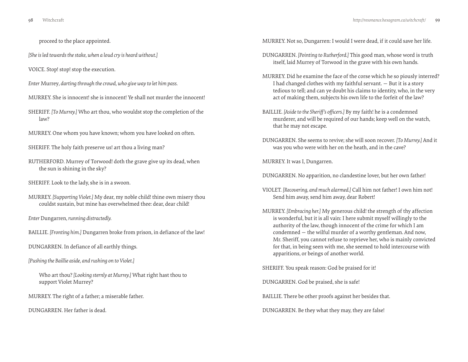proceed to the place appointed.

*[She is led towards the stake, when a loud cry is heard without.]*

VOICE. Stop! stop! stop the execution.

*Enter* Murrey*, darting through the crowd, who give way to let him pass.*

- MURREY. She is innocent! she is innocent! Ye shall not murder the innocent!
- SHERIFF. *[To Murrey.]* Who art thou, who wouldst stop the completion of the law?
- MURREY. One whom you have known; whom you have looked on often.
- SHERIFF. The holy faith preserve us! art thou a living man?
- RUTHERFORD. Murrey of Torwood! doth the grave give up its dead, when the sun is shining in the sky?
- SHERIFF. Look to the lady, she is in a swoon.
- MURREY. *[Supporting Violet.]* My dear, my noble child! thine own misery thou couldst sustain, but mine has overwhelmed thee: dear, dear child!

*Enter* Dungarren*, running distractedly.*

BAILLIE. *[Fronting him.]* Dungarren broke from prison, in defiance of the law!

DUNGARREN. In defiance of all earthly things.

*[Pushing the Baillie aside, and rushing on to Violet.]*

Who art thou? *[Looking sternly at Murrey.]* What right hast thou to support Violet Murrey?

MURREY. The right of a father; a miserable father.

DUNGARREN. Her father is dead.

MURREY. Not so, Dungarren: I would I were dead, if it could save her life.

- DUNGARREN. *[Pointing to Rutherford.]* This good man, whose word is truth itself, laid Murrey of Torwood in the grave with his own hands.
- MURREY. Did he examine the face of the corse which he so piously interred? I had changed clothes with my faithful servant. — But it is a story tedious to tell; and can ye doubt his claims to identity, who, in the very act of making them, subjects his own life to the forfeit of the law?
- BAILLIE. *[Aside to the Sheriff's officers.]* By my faith! he is a condemned murderer, and will be required of our hands; keep well on the watch, that he may not escape.
- DUNGARREN. She seems to revive; she will soon recover. *[To Murrey.]* And it was you who were with her on the heath, and in the cave?

MURREY. It was I, Dungarren.

DUNGARREN. No apparition, no clandestine lover, but her own father!

- VIOLET. *[Recovering, and much alarmed.]* Call him not father! I own him not! Send him away, send him away, dear Robert!
- MURREY. *[Embracing her.]* My generous child! the strength of thy affection is wonderful, but it is all vain: I here submit myself willingly to the authority of the law, though innocent of the crime for which I am condemned — the wilful murder of a worthy gentleman. And now, Mr. Sheriff, you cannot refuse to reprieve her, who is mainly convicted for that, in being seen with me, she seemed to hold intercourse with apparitions, or beings of another world.

SHERIFF. You speak reason: God be praised for it!

DUNGARREN. God be praised, she is safe!

BAILLIE. There be other proofs against her besides that.

DUNGARREN. Be they what they may, they are false!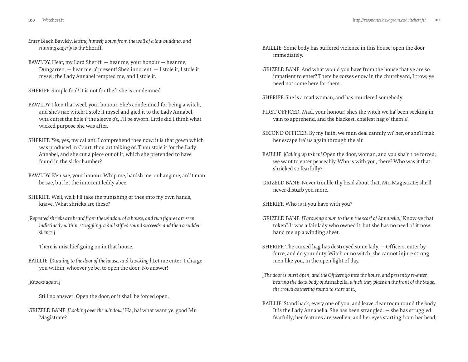- 
- *Enter* Black Bawldy*, letting himself down from the wall of a low building, and running eagerly to the* Sheriff*.*
- BAWLDY. Hear, my Lord Sheriff, hear me, your honour hear me, Dungarren; — hear me, a' present! She's innocent; — I stole it, I stole it mysel: the Lady Annabel tempted me, and I stole it.

SHERIFF. Simple fool! it is not for theft she is condemned.

- BAWLDY. I ken that weel, your honour. She's condemned for being a witch, and she's nae witch: I stole it mysel and gied it to the Lady Annabel, wha cuttet the hole i' the sleeve o't, I'll be sworn. Little did I think what wicked purpose she was after.
- SHERIFF. Yes, yes, my callant! I comprehend thee now: it is that gown which was produced in Court, thou art talking of. Thou stole it for the Lady Annabel, and she cut a piece out of it, which she pretended to have found in the sick-chamber?
- BAWLDY. E'en sae, your honour. Whip me, banish me, or hang me, an' it man be sae, but let the innocent leddy abee.
- SHERIFF. Well, well; I'll take the punishing of thee into my own hands, knave. What shrieks are these?
- *[Repeated shrieks are heard from the window of a house, and two figures are seen indistinctly within, struggling: a dull stifled sound succeeds, and then a sudden silence.]*
	- There is mischief going on in that house.
- BAILLIE. *[Running to the door of the house, and knocking.]* Let me enter: I charge you within, whoever ye be, to open the door. No answer!

*[Knocks again.]*

Still no answer! Open the door, or it shall be forced open.

GRIZELD BANE. *[Looking over the window.]* Ha, ha! what want ye, good Mr. Magistrate?

- BAILLIE. Some body has suffered violence in this house; open the door immediately.
- GRIZELD BANE. And what would you have from the house that ye are so impatient to enter? There be corses enow in the churchyard, I trow; ye need not come here for them.
- SHERIFF. She is a mad woman, and has murdered somebody.
- FIRST OFFICER. Mad, your honour! she's the witch we ha' been seeking in vain to apprehend, and the blackest, chiefest hag o' them a'.
- SECOND OFFICER. By my faith, we mun deal cannily wi' her, or she'll mak her escape fra' us again through the air.
- BAILLIE. *[Calling up to her.]* Open the door, woman, and you sha'n't be forced; we want to enter peaceably. Who is with you, there? Who was it that shrieked so fearfully?
- GRIZELD BANE. Never trouble thy head about that, Mr. Magistrate; she'll never disturb you more.

SHERIFF. Who is it you have with you?

- GRIZELD BANE. *[Throwing down to them the scarf of Annabella.]* Know ye that token? It was a fair lady who owned it, but she has no need of it now: hand me up a winding sheet.
- SHERIFF. The cursed hag has destroyed some lady. Officers, enter by force, and do your duty. Witch or no witch, she cannot injure strong men like you, in the open light of day.
- *[The door is burst open, and the Officers go into the house, and presently re-enter, bearing the dead body of* Annabella*, which they place on the front of the Stage, the crowd gathering round to stare at it.]*
- BAILLIE. Stand back, every one of you, and leave clear room round the body. It is the Lady Annabella. She has been strangled: — she has struggled fearfully; her features are swollen, and her eyes starting from her head;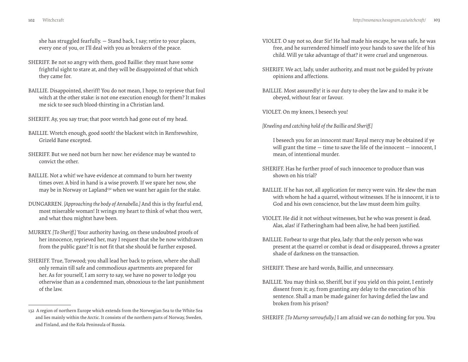she has struggled fearfully. — Stand back, I say; retire to your places, every one of you, or I'll deal with you as breakers of the peace.

- SHERIFF. Be not so angry with them, good Baillie: they must have some frightful sight to stare at, and they will be disappointed of that which they came for.
- BAILLIE. Disappointed, sheriff! You do not mean, I hope, to reprieve that foul witch at the other stake: is not one execution enough for them? It makes me sick to see such blood-thirsting in a Christian land.
- SHERIFF. Ay, you say true; that poor wretch had gone out of my head.
- BAILLIE. Wretch enough, good sooth! the blackest witch in Renfrewshire, Grizeld Bane excepted.
- SHERIFF. But we need not burn her now: her evidence may be wanted to convict the other.
- BAILLIE. Not a whit! we have evidence at command to burn her twenty times over. A bird in hand is a wise proverb. If we spare her now, she may be in Norway or Lapland<sup>132</sup> when we want her again for the stake.
- DUNGARREN. *[Approaching the body of Annabella.]* And this is thy fearful end, most miserable woman! It wrings my heart to think of what thou wert, and what thou mightst have been.
- MURREY. *[To Sheriff.]* Your authority having, on these undoubted proofs of her innocence, reprieved her, may I request that she be now withdrawn from the public gaze? It is not fit that she should be further exposed.
- SHERIFF. True, Torwood; you shall lead her back to prison, where she shall only remain till safe and commodious apartments are prepared for her. As for yourself, I am sorry to say, we have no power to lodge you otherwise than as a condemned man, obnoxious to the last punishment of the law.
- VIOLET. O say not so, dear Sir! He had made his escape, he was safe, he was free, and he surrendered himself into your hands to save the life of his child. Will ye take advantage of that? it were cruel and ungenerous.
- SHERIFF. We act, lady, under authority, and must not be guided by private opinions and affections.
- BAILLIE. Most assuredly! it is our duty to obey the law and to make it be obeyed, without fear or favour.

VIOLET. On my knees, I beseech you!

*[Kneeling and catching hold of the Baillie and Sheriff.]*

I beseech you for an innocent man! Royal mercy may be obtained if ye will grant the time  $-$  time to save the life of the innocent  $-$  innocent, I mean, of intentional murder.

- SHERIFF. Has he further proof of such innocence to produce than was shown on his trial?
- BAILLIE. If he has not, all application for mercy were vain. He slew the man with whom he had a quarrel, without witnesses. If he is innocent, it is to God and his own conscience, but the law must deem him guilty.
- VIOLET. He did it not without witnesses, but he who was present is dead. Alas, alas! if Fatheringham had been alive, he had been justified.
- BAILLIE. Forbear to urge that plea, lady: that the only person who was present at the quarrel or combat is dead or disappeared, throws a greater shade of darkness on the transaction.

SHERIFF. These are hard words, Baillie, and unnecessary.

BAILLIE. You may think so, Sheriff, but if you yield on this point, I entirely dissent from it; ay, from granting any delay to the execution of his sentence. Shall a man be made gainer for having defied the law and broken from his prison?

SHERIFF. *[To Murrey sorrowfully.]* I am afraid we can do nothing for you. You

<sup>132</sup> A region of northern Europe which extends from the Norwegian Sea to the White Sea and lies mainly within the Arctic. It consists of the northern parts of Norway, Sweden, and Finland, and the Kola Peninsula of Russia.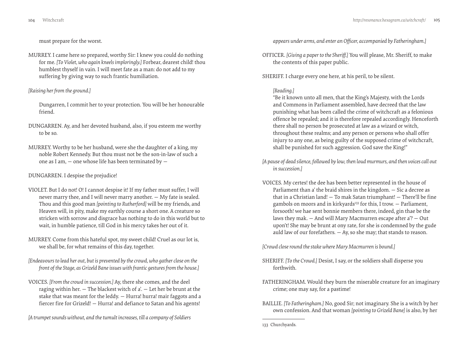must prepare for the worst.

MURREY. I came here so prepared, worthy Sir: I knew you could do nothing for me. *[To Violet, who again kneels imploringly.]* Forbear, dearest child! thou humblest thyself in vain. I will meet fate as a man: do not add to my suffering by giving way to such frantic humiliation.

#### *[Raising her from the ground.]*

Dungarren, I commit her to your protection. You will be her honourable friend.

- DUNGARREN. Ay, and her devoted husband, also, if you esteem me worthy to be so.
- MURREY. Worthy to be her husband, were she the daughter of a king, my noble Robert Kennedy. But thou must not be the son-in-law of such a one as I am,  $-$  one whose life has been terminated by  $-$

# DUNGARREN. I despise the prejudice!

- VIOLET. But I do not! O! I cannot despise it! If my father must suffer, I will never marry thee, and I will never marry another. — My fate is sealed. Thou and this good man *[pointing to Rutherford]* will be my friends, and Heaven will, in pity, make my earthly course a short one. A creature so stricken with sorrow and disgrace has nothing to do in this world but to wait, in humble patience, till God in his mercy takes her out of it.
- MURREY. Come from this hateful spot, my sweet child! Cruel as our lot is, we shall be, for what remains of this day, together.
- *[Endeavours to lead her out, but is prevented by the crowd, who gather close on the front of the Stage, as Grizeld Bane issues with frantic gestures from the house.]*
- VOICES. *[From the crowd in succession.]* Ay, there she comes, and the deel raging within her. — The blackest witch of a'. — Let her be brunt at the stake that was meant for the leddy. — Hurra! hurra! mair faggots and a fiercer fire for Grizeld! — Hurra! and defiance to Satan and his agents!

*[A trumpet sounds without, and the tumult increases, till a company of Soldiers* 

*appears under arms, and enter an Officer, accompanied by Fatheringham.]*

- OFFICER. *[Giving a paper to the Sheriff.]* You will please, Mr. Sheriff, to make the contents of this paper public.
- SHERIFF. I charge every one here, at his peril, to be silent.

# *[Reading.]*

"Be it known unto all men, that the King's Majesty, with the Lords and Commons in Parliament assembled, have decreed that the law punishing what has been called the crime of witchcraft as a felonious offence be repealed; and it is therefore repealed accordingly. Henceforth there shall no person be prosecuted at law as a wizard or witch, throughout these realms; and any person or persons who shall offer injury to any one, as being guilty of the supposed crime of witchcraft, shall be punished for such aggression. God save the King!"

- *[A pause of dead silence, followed by low, then loud murmurs, and then voices call out in succession.]*
- VOICES. My certes! the dee has been better represented in the house of Parliament than a' the braid shires in the kingdom. — Sic a decree as that in a Christian land! — To mak Satan triumphant! — There'll be fine gambols on moors and in kirkyards<sup>133</sup> for this, I trow.  $-$  Parliament, forsooth! we hae sent bonnie members there, indeed, gin thae be the laws they mak. — And will Mary Macmurren escape after a'? — Out upon't! She may be brunt at ony rate, for she is condemned by the gude auld law of our forefathers.  $-$  Ay, so she may; that stands to reason.

*[Crowd close round the stake where Mary Macmurren is bound.]*

- SHERIFF. *[To the Crowd.]* Desist, I say, or the soldiers shall disperse you forthwith.
- FATHERINGHAM. Would they burn the miserable creature for an imaginary crime; one may say, for a pastime!
- BAILLIE. *[To Fatheringham.]* No, good Sir; not imaginary. She is a witch by her own confession. And that woman *[pointing to Grizeld Bane]* is also, by her

<sup>133</sup> Churchyards.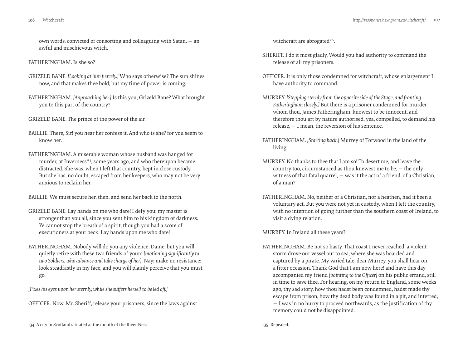own words, convicted of consorting and colleaguing with Satan, — an awful and mischievous witch.

FATHERINGHAM. Is she so?

- GRIZELD BANE. *[Looking at him fiercely.]* Who says otherwise? The sun shines now, and that makes thee bold; but my time of power is coming.
- FATHERINGHAM. *[Approaching her.]* Is this you, Grizeld Bane? What brought you to this part of the country?
- GRIZELD BANE. The prince of the power of the air.
- BAILLIE. There, Sir! you hear her confess it. And who is she? for you seem to know her.
- FATHERINGHAM. A miserable woman whose husband was hanged for murder, at Inverness<sup>134</sup>, some years ago, and who thereupon became distracted. She was, when I left that country, kept in close custody. But she has, no doubt, escaped from her keepers, who may not be very anxious to reclaim her.

BAILLIE. We must secure her, then, and send her back to the north.

- GRIZELD BANE. Lay hands on me who dare! I defy you: my master is stronger than you all, since you sent him to his kingdom of darkness. Ye cannot stop the breath of a spirit, though you had a score of executioners at your beck. Lay hands upon me who dare!
- FATHERINGHAM. Nobody will do you any violence, Dame; but you will quietly retire with these two friends of yours *[motioning significantly to two Soldiers, who advance and take charge of her]*. Nay; make no resistance: look steadfastly in my face, and you will plainly perceive that you must go.

*[Fixes his eyes upon her sternly, while she suffers herself to be led off.]*

OFFICER. Now, Mr. Sheriff, release your prisoners, since the laws against

witchcraft are abrogated<sup>135</sup>.

- SHERIFF. I do it most gladly. Would you had authority to command the release of all my prisoners.
- OFFICER. It is only those condemned for witchcraft, whose enlargement I have authority to command.
- MURREY. *[Stepping sternly from the opposite side of the Stage, and fronting Fatheringham closely.]* But there is a prisoner condemned for murder whom thou, James Fatheringham, knowest to be innocent, and therefore thou art by nature authorised, yea, compelled, to demand his release, — I mean, the reversion of his sentence.
- FATHERINGHAM. *[Starting back.]* Murrey of Torwood in the land of the living!
- MURREY. No thanks to thee that I am so! To desert me, and leave the country too, circumstanced as thou knewest me to be, — the only witness of that fatal quarrel, — was it the act of a friend, of a Christian, of a man?
- FATHERINGHAM. No, neither of a Christian, nor a heathen, had it been a voluntary act. But you were not yet in custody, when I left the country, with no intention of going further than the southern coast of Ireland, to visit a dying relation.

MURREY. In Ireland all these years?

FATHERINGHAM. Be not so hasty. That coast I never reached: a violent storm drove our vessel out to sea, where she was boarded and captured by a pirate. My varied tale, dear Murrey, you shall hear on a fitter occasion. Thank God that I am now here! and have this day accompanied my friend *[pointing to the Officer]* on his public errand, still in time to save thee. For hearing, on my return to England, some weeks ago, thy sad story, how thou hadst been condemned, hadst made thy escape from prison, how thy dead body was found in a pit, and interred, — I was in no hurry to proceed northwards, as the justification of thy memory could not be disappointed.

135 Repealed.

<sup>134</sup> A city in Scotland situated at the mouth of the River Ness.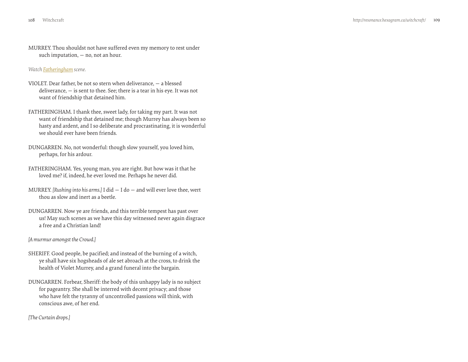<span id="page-54-0"></span>MURREY. Thou shouldst not have suffered even my memory to rest under such imputation, — no, not an hour.

*Watch [Fatheringham](http://vimeo.com/groups/134592/videos/41309392) scene.* 

- VIOLET. Dear father, be not so stern when deliverance, a blessed deliverance, — is sent to thee. See; there is a tear in his eye. It was not want of friendship that detained him.
- FATHERINGHAM. I thank thee, sweet lady, for taking my part. It was not want of friendship that detained me; though Murrey has always been so hasty and ardent, and I so deliberate and procrastinating, it is wonderful we should ever have been friends.
- DUNGARREN. No, not wonderful: though slow yourself, you loved him, perhaps, for his ardour.
- FATHERINGHAM. Yes, young man, you are right. But how was it that he loved me? if, indeed, he ever loved me. Perhaps he never did.
- MURREY. *[Rushing into his arms.]* I did I do and will ever love thee, wert thou as slow and inert as a beetle.
- DUNGARREN. Now ye are friends, and this terrible tempest has past over us! May such scenes as we have this day witnessed never again disgrace a free and a Christian land!

#### *[A murmur amongst the Crowd.]*

- SHERIFF. Good people, be pacified; and instead of the burning of a witch, ye shall have six hogsheads of ale set abroach at the cross, to drink the health of Violet Murrey, and a grand funeral into the bargain.
- DUNGARREN. Forbear, Sheriff: the body of this unhappy lady is no subject for pageantry. She shall be interred with decent privacy; and those who have felt the tyranny of uncontrolled passions will think, with conscious awe, of her end.

*[The Curtain drops.]*